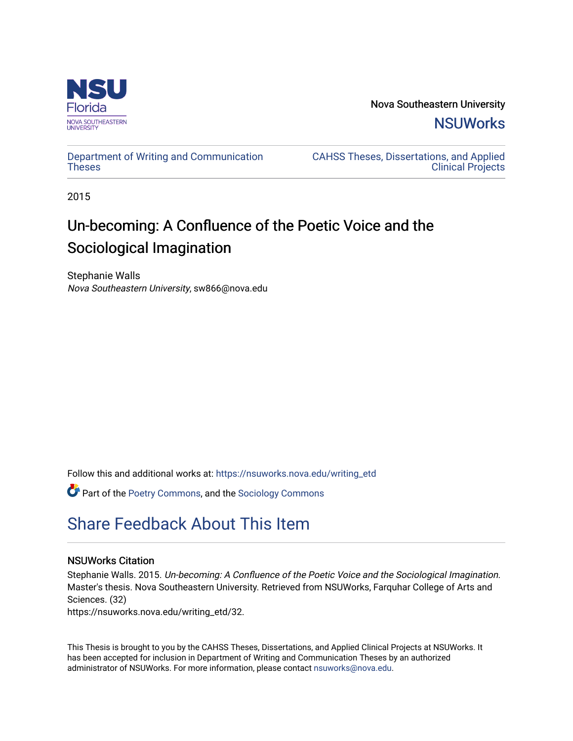

Nova Southeastern University **NSUWorks** 

[Department of Writing and Communication](https://nsuworks.nova.edu/writing_etd)  **Theses** 

[CAHSS Theses, Dissertations, and Applied](https://nsuworks.nova.edu/cahss_etd)  [Clinical Projects](https://nsuworks.nova.edu/cahss_etd) 

2015

# Un-becoming: A Confluence of the Poetic Voice and the Sociological Imagination

Stephanie Walls Nova Southeastern University, sw866@nova.edu

Follow this and additional works at: [https://nsuworks.nova.edu/writing\\_etd](https://nsuworks.nova.edu/writing_etd?utm_source=nsuworks.nova.edu%2Fwriting_etd%2F32&utm_medium=PDF&utm_campaign=PDFCoverPages)

Part of the [Poetry Commons,](http://network.bepress.com/hgg/discipline/1153?utm_source=nsuworks.nova.edu%2Fwriting_etd%2F32&utm_medium=PDF&utm_campaign=PDFCoverPages) and the [Sociology Commons](http://network.bepress.com/hgg/discipline/416?utm_source=nsuworks.nova.edu%2Fwriting_etd%2F32&utm_medium=PDF&utm_campaign=PDFCoverPages) 

# [Share Feedback About This Item](http://nsuworks.nova.edu/user_survey.html)

## NSUWorks Citation

Stephanie Walls. 2015. Un-becoming: A Confluence of the Poetic Voice and the Sociological Imagination. Master's thesis. Nova Southeastern University. Retrieved from NSUWorks, Farquhar College of Arts and Sciences. (32)

https://nsuworks.nova.edu/writing\_etd/32.

This Thesis is brought to you by the CAHSS Theses, Dissertations, and Applied Clinical Projects at NSUWorks. It has been accepted for inclusion in Department of Writing and Communication Theses by an authorized administrator of NSUWorks. For more information, please contact [nsuworks@nova.edu.](mailto:nsuworks@nova.edu)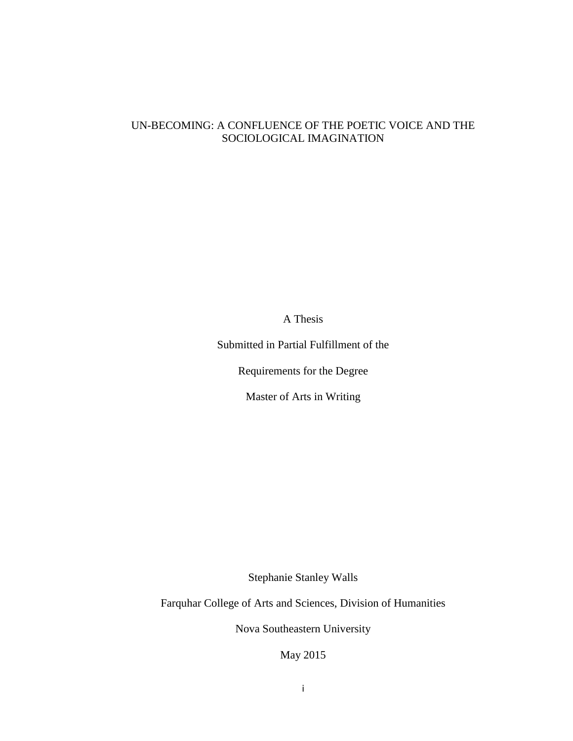# UN-BECOMING: A CONFLUENCE OF THE POETIC VOICE AND THE SOCIOLOGICAL IMAGINATION

A Thesis

Submitted in Partial Fulfillment of the

Requirements for the Degree

Master of Arts in Writing

Stephanie Stanley Walls

Farquhar College of Arts and Sciences, Division of Humanities

Nova Southeastern University

May 2015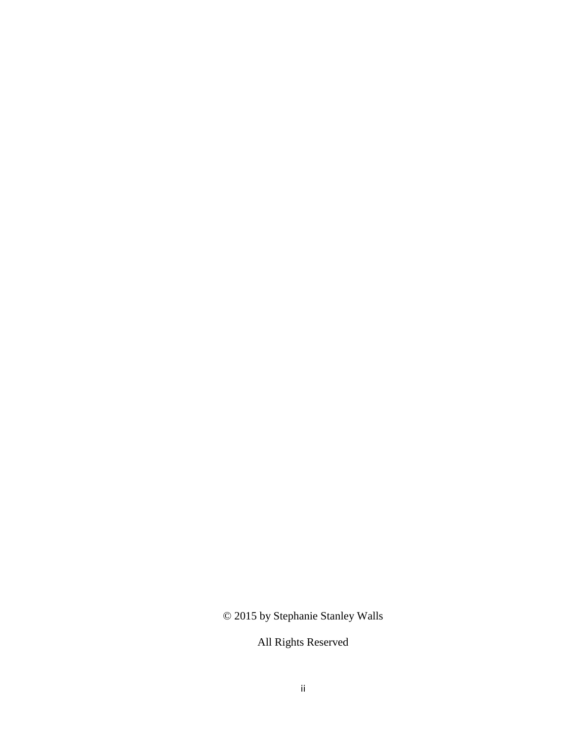© 2015 by Stephanie Stanley Walls

All Rights Reserved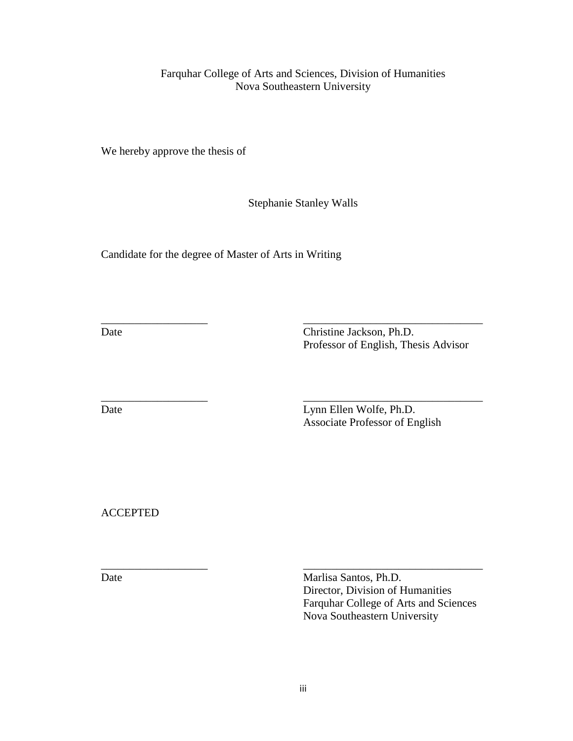Farquhar College of Arts and Sciences, Division of Humanities Nova Southeastern University

We hereby approve the thesis of

Stephanie Stanley Walls

\_\_\_\_\_\_\_\_\_\_\_\_\_\_\_\_\_\_\_ \_\_\_\_\_\_\_\_\_\_\_\_\_\_\_\_\_\_\_\_\_\_\_\_\_\_\_\_\_\_\_\_

\_\_\_\_\_\_\_\_\_\_\_\_\_\_\_\_\_\_\_ \_\_\_\_\_\_\_\_\_\_\_\_\_\_\_\_\_\_\_\_\_\_\_\_\_\_\_\_\_\_\_\_

Candidate for the degree of Master of Arts in Writing

Date Christine Jackson, Ph.D. Professor of English, Thesis Advisor

Date Lynn Ellen Wolfe, Ph.D. Associate Professor of English

ACCEPTED

\_\_\_\_\_\_\_\_\_\_\_\_\_\_\_\_\_\_\_ \_\_\_\_\_\_\_\_\_\_\_\_\_\_\_\_\_\_\_\_\_\_\_\_\_\_\_\_\_\_\_\_ Date Marlisa Santos, Ph.D. Director, Division of Humanities Farquhar College of Arts and Sciences Nova Southeastern University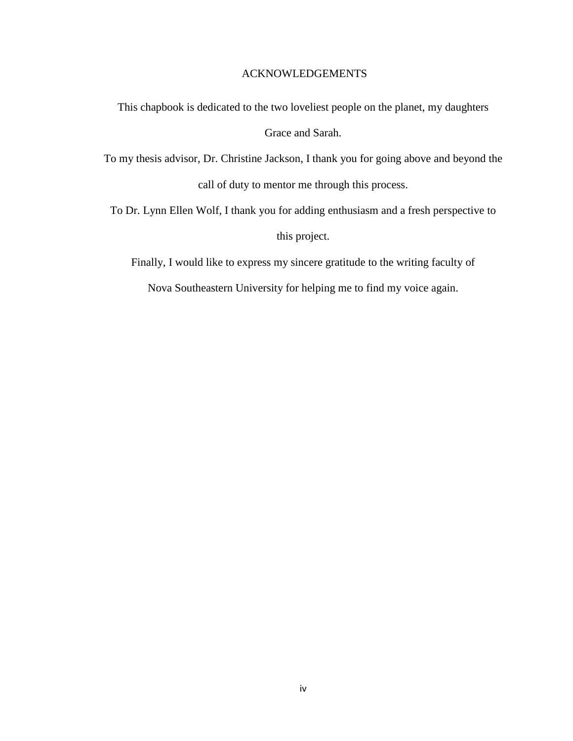#### ACKNOWLEDGEMENTS

This chapbook is dedicated to the two loveliest people on the planet, my daughters

Grace and Sarah.

To my thesis advisor, Dr. Christine Jackson, I thank you for going above and beyond the call of duty to mentor me through this process.

To Dr. Lynn Ellen Wolf, I thank you for adding enthusiasm and a fresh perspective to this project.

Finally, I would like to express my sincere gratitude to the writing faculty of

Nova Southeastern University for helping me to find my voice again.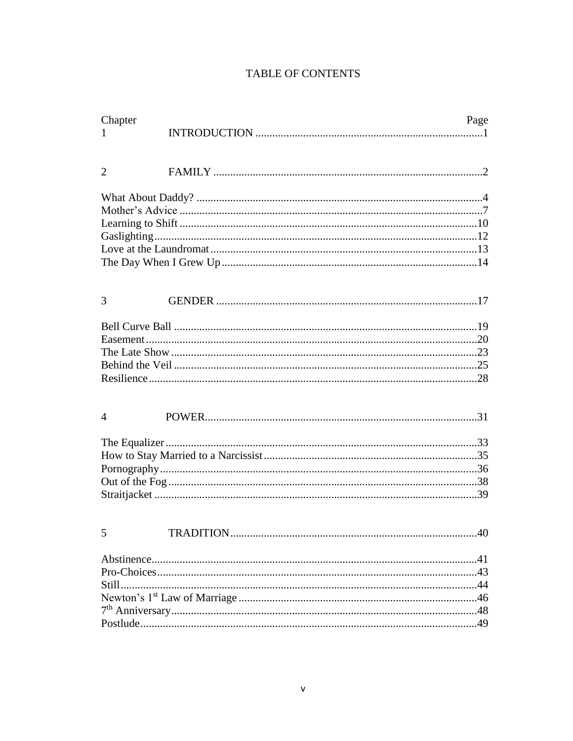# **TABLE OF CONTENTS**

| Chapter<br>1   | Page      |     |  |
|----------------|-----------|-----|--|
| $\overline{2}$ |           |     |  |
|                |           |     |  |
|                |           |     |  |
|                |           |     |  |
| 3              |           |     |  |
|                |           |     |  |
|                |           |     |  |
|                |           |     |  |
|                |           |     |  |
| $\overline{4}$ |           |     |  |
|                |           |     |  |
|                |           |     |  |
|                |           |     |  |
|                |           |     |  |
|                |           |     |  |
| 5              | TRADITION | .40 |  |
|                |           |     |  |
|                |           |     |  |
|                |           |     |  |
|                |           |     |  |
|                |           |     |  |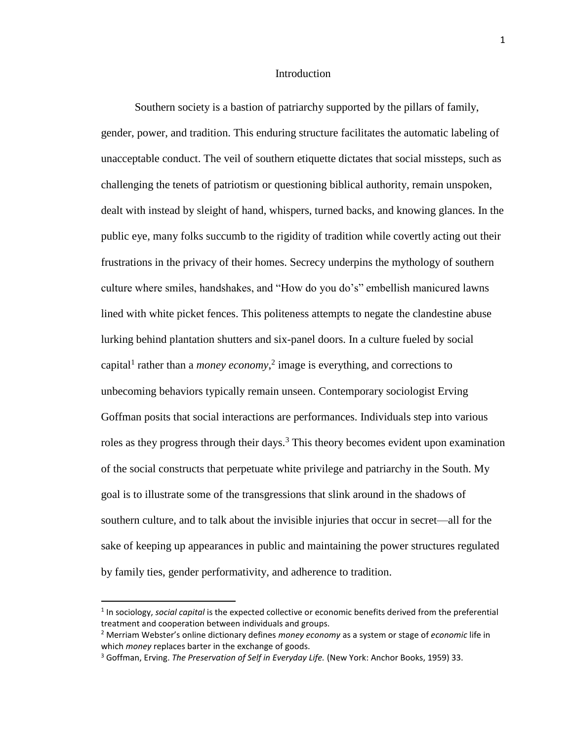#### Introduction

Southern society is a bastion of patriarchy supported by the pillars of family, gender, power, and tradition. This enduring structure facilitates the automatic labeling of unacceptable conduct. The veil of southern etiquette dictates that social missteps, such as challenging the tenets of patriotism or questioning biblical authority, remain unspoken, dealt with instead by sleight of hand, whispers, turned backs, and knowing glances. In the public eye, many folks succumb to the rigidity of tradition while covertly acting out their frustrations in the privacy of their homes. Secrecy underpins the mythology of southern culture where smiles, handshakes, and "How do you do's" embellish manicured lawns lined with white picket fences. This politeness attempts to negate the clandestine abuse lurking behind plantation shutters and six-panel doors. In a culture fueled by social capital<sup>1</sup> rather than a *money economy*,<sup>2</sup> image is everything, and corrections to unbecoming behaviors typically remain unseen. Contemporary sociologist Erving Goffman posits that social interactions are performances. Individuals step into various roles as they progress through their days.<sup>3</sup> This theory becomes evident upon examination of the social constructs that perpetuate white privilege and patriarchy in the South. My goal is to illustrate some of the transgressions that slink around in the shadows of southern culture, and to talk about the invisible injuries that occur in secret—all for the sake of keeping up appearances in public and maintaining the power structures regulated by family ties, gender performativity, and adherence to tradition.

l

<sup>1</sup> In sociology, *social capital* is the expected collective or economic benefits derived from the preferential treatment and cooperation between individuals and groups.

<sup>2</sup> Merriam Webster's online dictionary defines *money economy* as a system or stage of *economic* life in which *money* replaces barter in the exchange of goods.

<sup>3</sup> Goffman, Erving. *The Preservation of Self in Everyday Life.* (New York: Anchor Books, 1959) 33.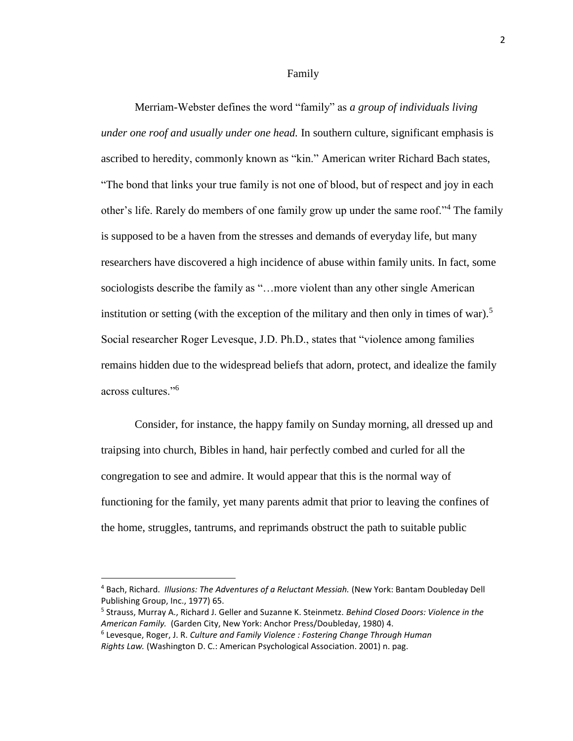Family

Merriam-Webster defines the word "family" as *a group of individuals living under one roof and usually under one head.* In southern culture, significant emphasis is ascribed to heredity, commonly known as "kin." American writer Richard Bach states, "The bond that links your true family is not one of blood, but of respect and joy in each other's life. Rarely do members of one family grow up under the same roof."<sup>4</sup> The family is supposed to be a haven from the stresses and demands of everyday life, but many researchers have discovered a high incidence of abuse within family units. In fact, some sociologists describe the family as "...more violent than any other single American institution or setting (with the exception of the military and then only in times of war).<sup>5</sup> Social researcher Roger Levesque, J.D. Ph.D., states that "violence among families remains hidden due to the widespread beliefs that adorn, protect, and idealize the family across cultures."<sup>6</sup>

Consider, for instance, the happy family on Sunday morning, all dressed up and traipsing into church, Bibles in hand, hair perfectly combed and curled for all the congregation to see and admire. It would appear that this is the normal way of functioning for the family, yet many parents admit that prior to leaving the confines of the home, struggles, tantrums, and reprimands obstruct the path to suitable public

 $\overline{a}$ 

<sup>4</sup> Bach, Richard. *Illusions: The Adventures of a Reluctant Messiah.* (New York: Bantam Doubleday Dell Publishing Group, Inc., 1977) 65.

<sup>5</sup> Strauss, Murray A., Richard J. Geller and Suzanne K. Steinmetz. *Behind Closed Doors: Violence in the American Family.* (Garden City, New York: Anchor Press/Doubleday, 1980) 4.

<sup>6</sup> Levesque, Roger, J. R. *Culture and Family Violence : Fostering Change Through Human Rights Law.* (Washington D. C.: American Psychological Association. 2001) n. pag.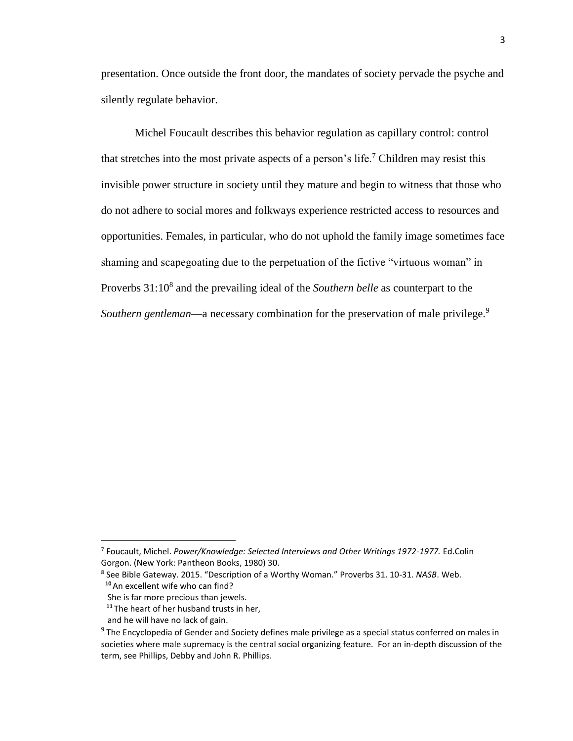presentation. Once outside the front door, the mandates of society pervade the psyche and silently regulate behavior.

Michel Foucault describes this behavior regulation as capillary control: control that stretches into the most private aspects of a person's life.<sup>7</sup> Children may resist this invisible power structure in society until they mature and begin to witness that those who do not adhere to social mores and folkways experience restricted access to resources and opportunities. Females, in particular, who do not uphold the family image sometimes face shaming and scapegoating due to the perpetuation of the fictive "virtuous woman" in Proverbs 31:10<sup>8</sup> and the prevailing ideal of the *Southern belle* as counterpart to the *Southern gentleman—a* necessary combination for the preservation of male privilege.<sup>9</sup>

 $\overline{\phantom{a}}$ 

<sup>7</sup> Foucault, Michel. *Power/Knowledge: Selected Interviews and Other Writings 1972-1977.* Ed.Colin Gorgon. (New York: Pantheon Books, 1980) 30.

<sup>8</sup> See Bible Gateway. 2015. "Description of a Worthy Woman." Proverbs 31. 10-31. *NASB*. Web. **<sup>10</sup>**An excellent wife who can find?

She is far more precious than jewels.

**<sup>11</sup>**The heart of her husband trusts in her,

and he will have no lack of gain.

<sup>&</sup>lt;sup>9</sup> The Encyclopedia of Gender and Society defines male privilege as a special status conferred on males in societies where male supremacy is the central social organizing feature. For an in-depth discussion of the term, see Phillips, Debby and John R. Phillips.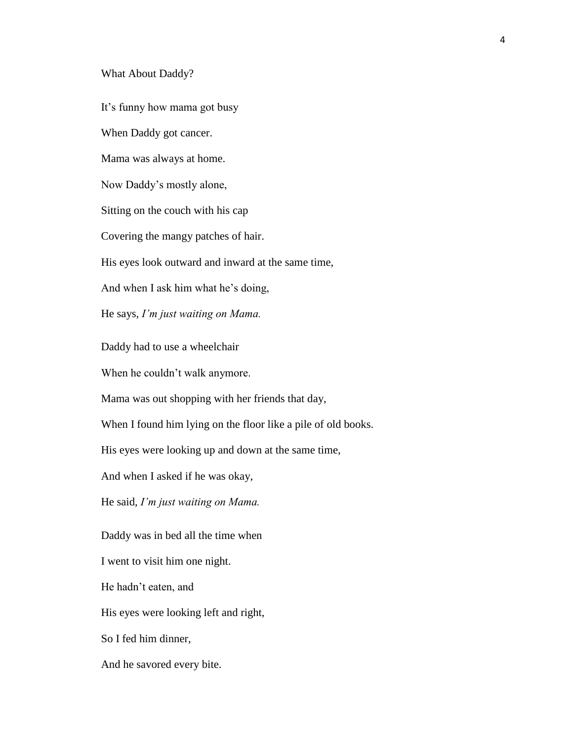#### What About Daddy?

It's funny how mama got busy

When Daddy got cancer.

Mama was always at home.

Now Daddy's mostly alone,

Sitting on the couch with his cap

Covering the mangy patches of hair.

His eyes look outward and inward at the same time,

And when I ask him what he's doing,

He says, *I'm just waiting on Mama.*

Daddy had to use a wheelchair

When he couldn't walk anymore.

Mama was out shopping with her friends that day,

When I found him lying on the floor like a pile of old books.

His eyes were looking up and down at the same time,

And when I asked if he was okay,

He said, *I'm just waiting on Mama.*

Daddy was in bed all the time when

I went to visit him one night.

He hadn't eaten, and

His eyes were looking left and right,

So I fed him dinner,

And he savored every bite.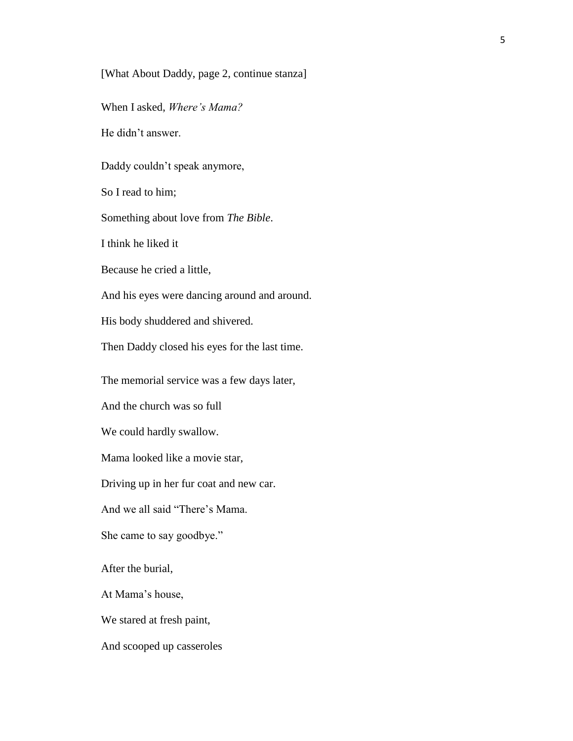[What About Daddy, page 2, continue stanza]

When I asked, *Where's Mama?*

He didn't answer.

Daddy couldn't speak anymore,

So I read to him;

Something about love from *The Bible*.

I think he liked it

Because he cried a little,

And his eyes were dancing around and around.

His body shuddered and shivered.

Then Daddy closed his eyes for the last time.

The memorial service was a few days later,

And the church was so full

We could hardly swallow.

Mama looked like a movie star,

Driving up in her fur coat and new car.

And we all said "There's Mama.

She came to say goodbye."

After the burial,

At Mama's house,

We stared at fresh paint,

And scooped up casseroles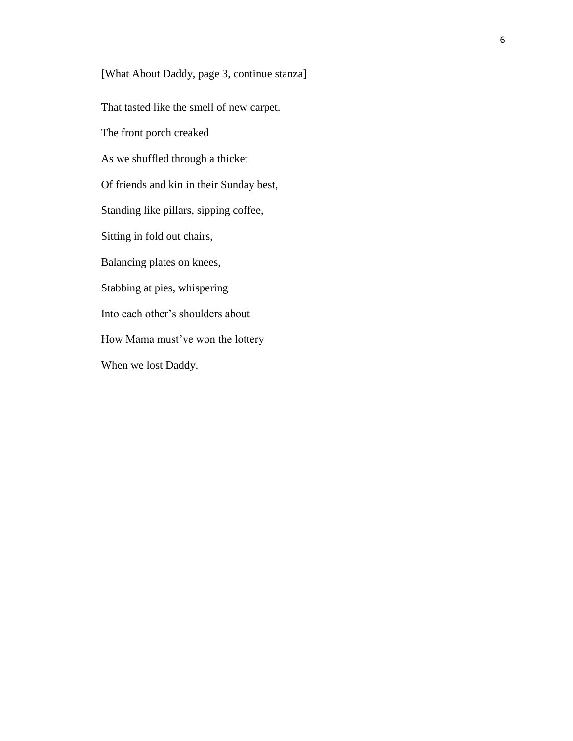[What About Daddy, page 3, continue stanza] That tasted like the smell of new carpet. The front porch creaked As we shuffled through a thicket Of friends and kin in their Sunday best, Standing like pillars, sipping coffee, Sitting in fold out chairs, Balancing plates on knees, Stabbing at pies, whispering Into each other's shoulders about How Mama must've won the lottery When we lost Daddy.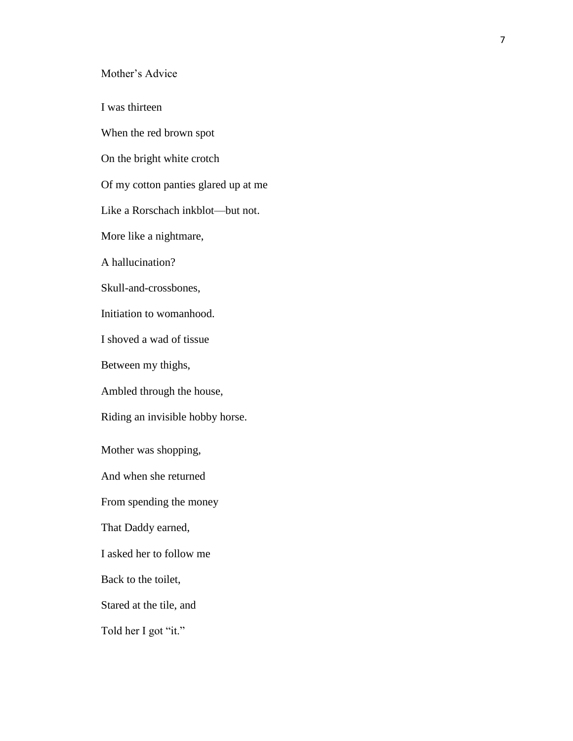Mother's Advice

I was thirteen

When the red brown spot

On the bright white crotch

Of my cotton panties glared up at me

Like a Rorschach inkblot—but not.

More like a nightmare,

A hallucination?

Skull-and-crossbones,

Initiation to womanhood.

I shoved a wad of tissue

Between my thighs,

Ambled through the house,

Riding an invisible hobby horse.

Mother was shopping,

And when she returned

From spending the money

That Daddy earned,

I asked her to follow me

Back to the toilet,

Stared at the tile, and

Told her I got "it."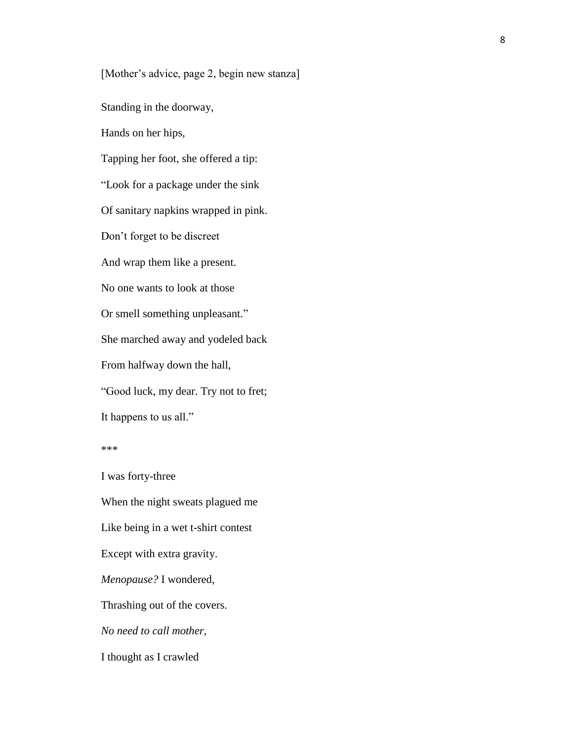[Mother's advice, page 2, begin new stanza]

Standing in the doorway,

Hands on her hips,

Tapping her foot, she offered a tip: "Look for a package under the sink Of sanitary napkins wrapped in pink. Don't forget to be discreet And wrap them like a present. No one wants to look at those Or smell something unpleasant." She marched away and yodeled back From halfway down the hall, "Good luck, my dear. Try not to fret; It happens to us all."

I was forty-three When the night sweats plagued me Like being in a wet t-shirt contest Except with extra gravity. *Menopause?* I wondered, Thrashing out of the covers. *No need to call mother,* I thought as I crawled

<sup>\*\*\*</sup>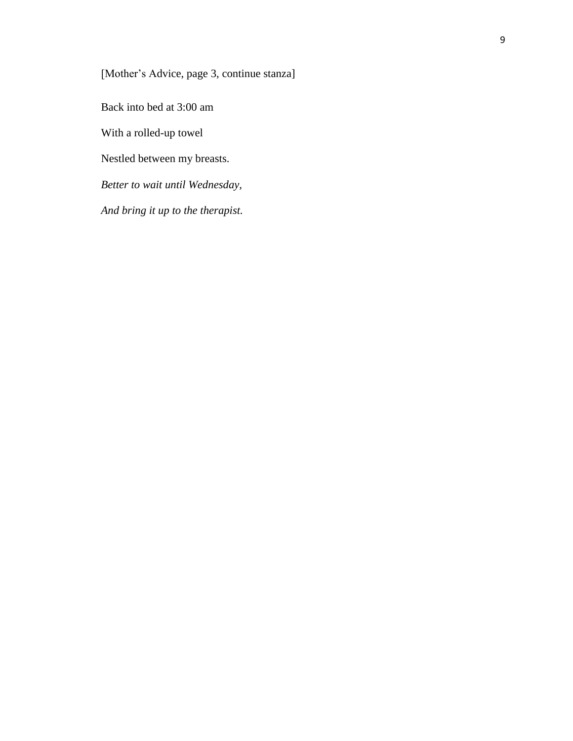[Mother's Advice, page 3, continue stanza]

Back into bed at 3:00 am

With a rolled-up towel

Nestled between my breasts.

*Better to wait until Wednesday,*

*And bring it up to the therapist.*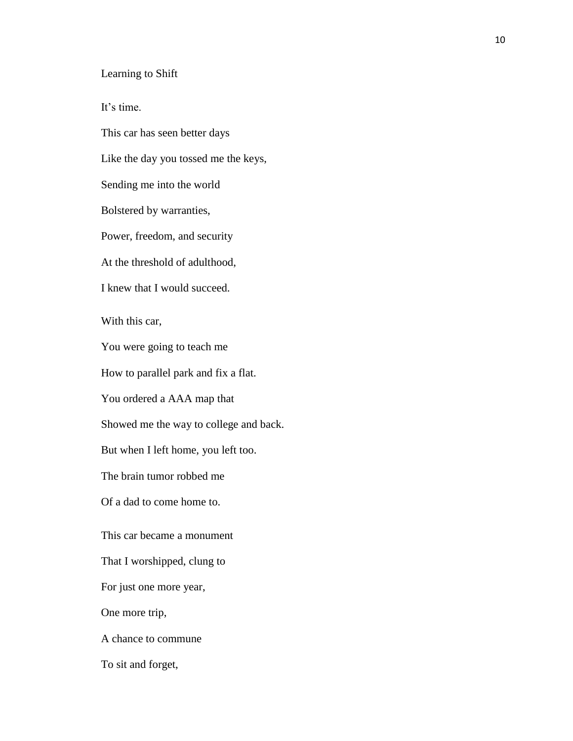Learning to Shift

It's time.

This car has seen better days Like the day you tossed me the keys, Sending me into the world Bolstered by warranties, Power, freedom, and security At the threshold of adulthood, I knew that I would succeed. With this car, You were going to teach me How to parallel park and fix a flat. You ordered a AAA map that Showed me the way to college and back. But when I left home, you left too. The brain tumor robbed me Of a dad to come home to. This car became a monument That I worshipped, clung to For just one more year, One more trip, A chance to commune To sit and forget,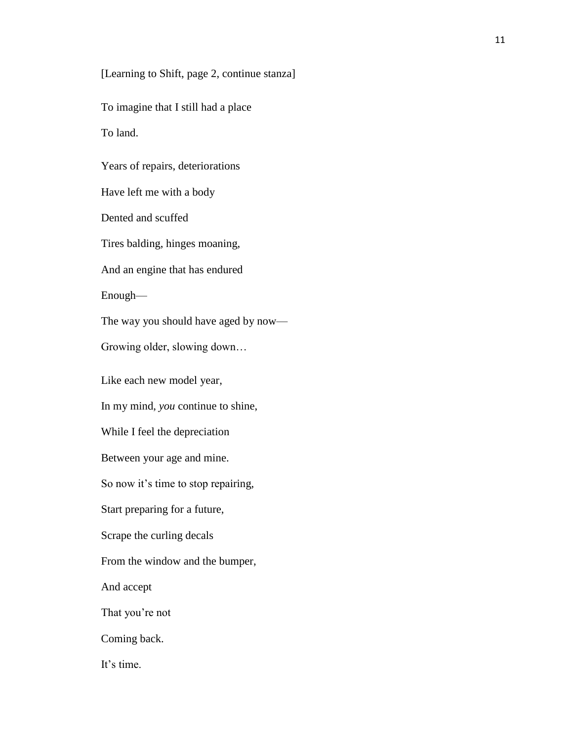[Learning to Shift, page 2, continue stanza]

To imagine that I still had a place

To land.

Years of repairs, deteriorations

Have left me with a body

Dented and scuffed

Tires balding, hinges moaning,

And an engine that has endured

Enough—

The way you should have aged by now—

Growing older, slowing down…

Like each new model year,

In my mind, *you* continue to shine,

While I feel the depreciation

Between your age and mine.

So now it's time to stop repairing,

Start preparing for a future,

Scrape the curling decals

From the window and the bumper,

And accept

That you're not

Coming back.

It's time.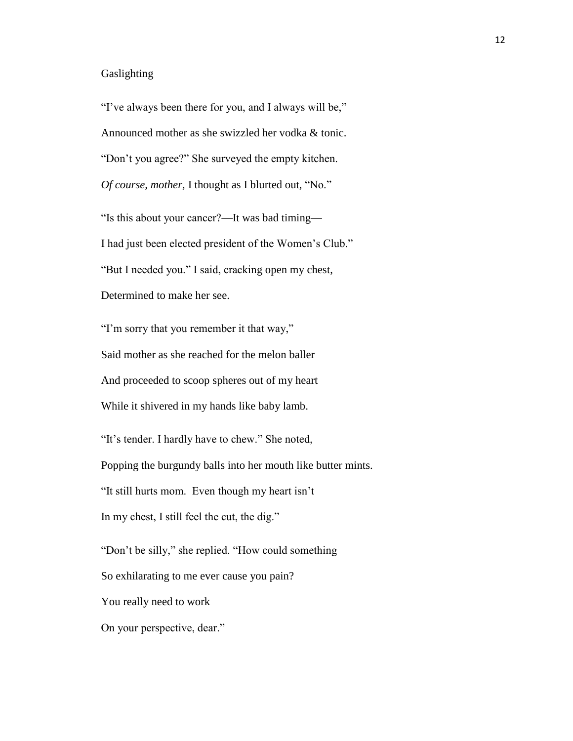#### Gaslighting

"I've always been there for you, and I always will be," Announced mother as she swizzled her vodka & tonic. "Don't you agree?" She surveyed the empty kitchen. *Of course, mother,* I thought as I blurted out, "No."

"Is this about your cancer?—It was bad timing— I had just been elected president of the Women's Club." "But I needed you." I said, cracking open my chest, Determined to make her see.

"I'm sorry that you remember it that way," Said mother as she reached for the melon baller And proceeded to scoop spheres out of my heart While it shivered in my hands like baby lamb.

"It's tender. I hardly have to chew." She noted, Popping the burgundy balls into her mouth like butter mints. "It still hurts mom. Even though my heart isn't In my chest, I still feel the cut, the dig."

"Don't be silly," she replied. "How could something So exhilarating to me ever cause you pain? You really need to work On your perspective, dear."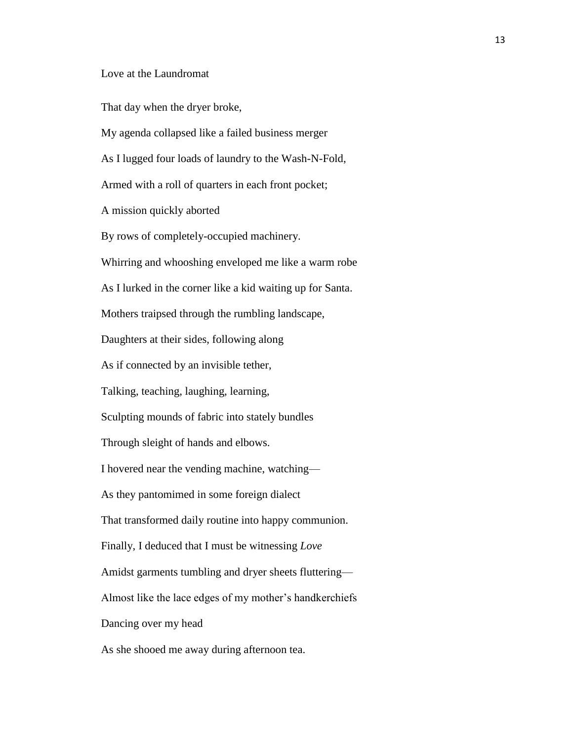#### Love at the Laundromat

That day when the dryer broke,

My agenda collapsed like a failed business merger As I lugged four loads of laundry to the Wash-N-Fold, Armed with a roll of quarters in each front pocket; A mission quickly aborted By rows of completely-occupied machinery. Whirring and whooshing enveloped me like a warm robe As I lurked in the corner like a kid waiting up for Santa. Mothers traipsed through the rumbling landscape, Daughters at their sides, following along As if connected by an invisible tether, Talking, teaching, laughing, learning, Sculpting mounds of fabric into stately bundles Through sleight of hands and elbows. I hovered near the vending machine, watching— As they pantomimed in some foreign dialect That transformed daily routine into happy communion. Finally, I deduced that I must be witnessing *Love* Amidst garments tumbling and dryer sheets fluttering— Almost like the lace edges of my mother's handkerchiefs Dancing over my head As she shooed me away during afternoon tea.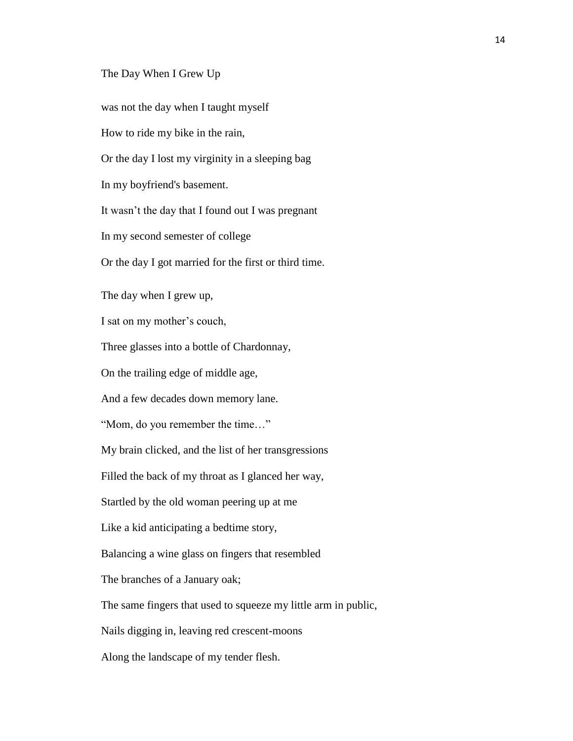#### The Day When I Grew Up

was not the day when I taught myself How to ride my bike in the rain, Or the day I lost my virginity in a sleeping bag In my boyfriend's basement. It wasn't the day that I found out I was pregnant In my second semester of college Or the day I got married for the first or third time. The day when I grew up, I sat on my mother's couch, Three glasses into a bottle of Chardonnay, On the trailing edge of middle age, And a few decades down memory lane. "Mom, do you remember the time…" My brain clicked, and the list of her transgressions Filled the back of my throat as I glanced her way, Startled by the old woman peering up at me Like a kid anticipating a bedtime story, Balancing a wine glass on fingers that resembled The branches of a January oak; The same fingers that used to squeeze my little arm in public, Nails digging in, leaving red crescent-moons Along the landscape of my tender flesh.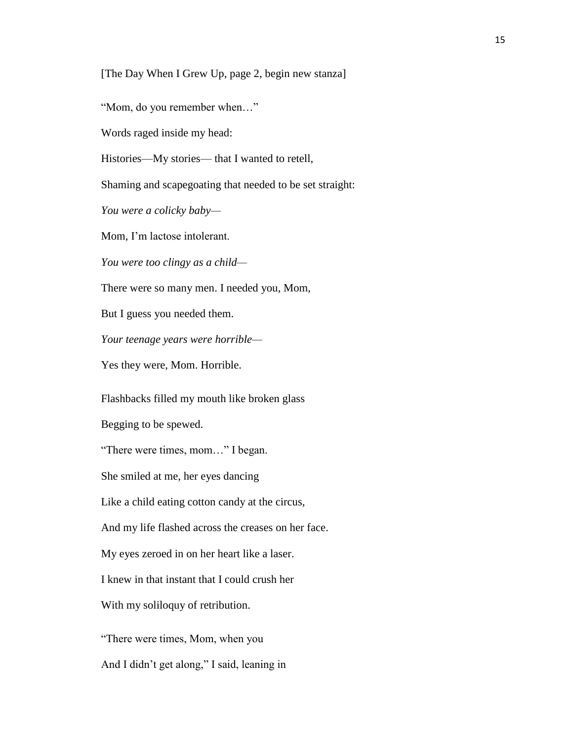[The Day When I Grew Up, page 2, begin new stanza]

"Mom, do you remember when…"

Words raged inside my head:

Histories—My stories— that I wanted to retell,

Shaming and scapegoating that needed to be set straight:

*You were a colicky baby—*

Mom, I'm lactose intolerant.

*You were too clingy as a child—*

There were so many men. I needed you, Mom,

But I guess you needed them.

*Your teenage years were horrible—*

Yes they were, Mom. Horrible.

Flashbacks filled my mouth like broken glass

Begging to be spewed.

"There were times, mom…" I began.

She smiled at me, her eyes dancing

Like a child eating cotton candy at the circus,

And my life flashed across the creases on her face.

My eyes zeroed in on her heart like a laser.

I knew in that instant that I could crush her

With my soliloquy of retribution.

"There were times, Mom, when you

And I didn't get along," I said, leaning in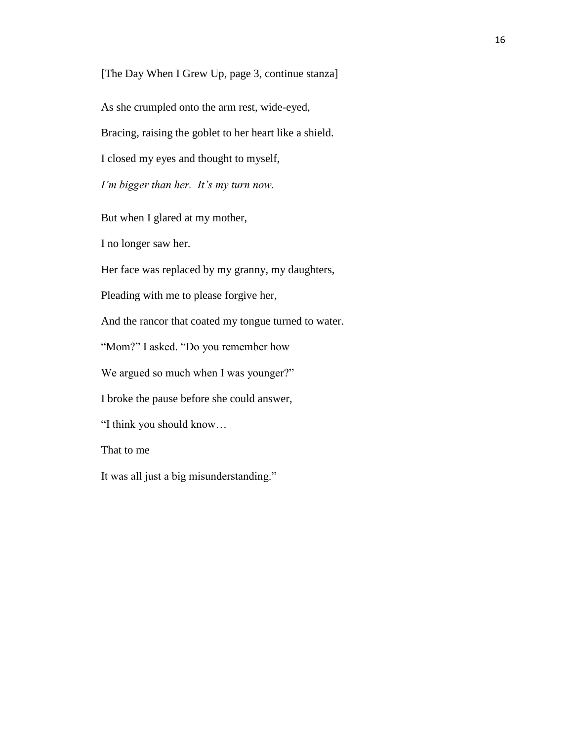[The Day When I Grew Up, page 3, continue stanza]

As she crumpled onto the arm rest, wide-eyed,

Bracing, raising the goblet to her heart like a shield.

I closed my eyes and thought to myself,

*I'm bigger than her. It's my turn now.*

But when I glared at my mother,

I no longer saw her.

Her face was replaced by my granny, my daughters,

Pleading with me to please forgive her,

And the rancor that coated my tongue turned to water.

"Mom?" I asked. "Do you remember how

We argued so much when I was younger?"

I broke the pause before she could answer,

"I think you should know…

That to me

It was all just a big misunderstanding."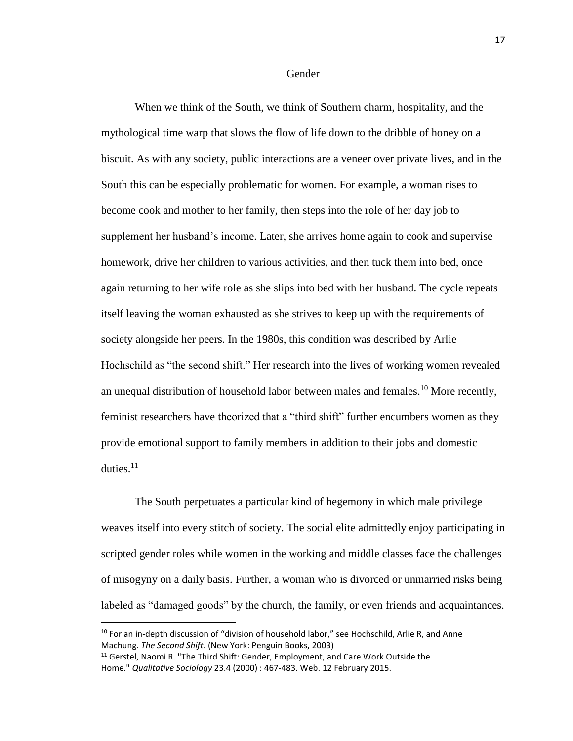Gender

When we think of the South, we think of Southern charm, hospitality, and the mythological time warp that slows the flow of life down to the dribble of honey on a biscuit. As with any society, public interactions are a veneer over private lives, and in the South this can be especially problematic for women. For example, a woman rises to become cook and mother to her family, then steps into the role of her day job to supplement her husband's income. Later, she arrives home again to cook and supervise homework, drive her children to various activities, and then tuck them into bed, once again returning to her wife role as she slips into bed with her husband. The cycle repeats itself leaving the woman exhausted as she strives to keep up with the requirements of society alongside her peers. In the 1980s, this condition was described by Arlie Hochschild as "the second shift." Her research into the lives of working women revealed an unequal distribution of household labor between males and females.<sup>10</sup> More recently, feminist researchers have theorized that a "third shift" further encumbers women as they provide emotional support to family members in addition to their jobs and domestic duties. $11$ 

The South perpetuates a particular kind of hegemony in which male privilege weaves itself into every stitch of society. The social elite admittedly enjoy participating in scripted gender roles while women in the working and middle classes face the challenges of misogyny on a daily basis. Further, a woman who is divorced or unmarried risks being labeled as "damaged goods" by the church, the family, or even friends and acquaintances.

 $\overline{a}$ 

 $10$  For an in-depth discussion of "division of household labor," see Hochschild, Arlie R, and Anne Machung. *The Second Shift*. (New York: Penguin Books, 2003)

 $11$  Gerstel, Naomi R. "The Third Shift: Gender, Employment, and Care Work Outside the Home." *Qualitative Sociology* 23.4 (2000) : 467-483. Web. 12 February 2015.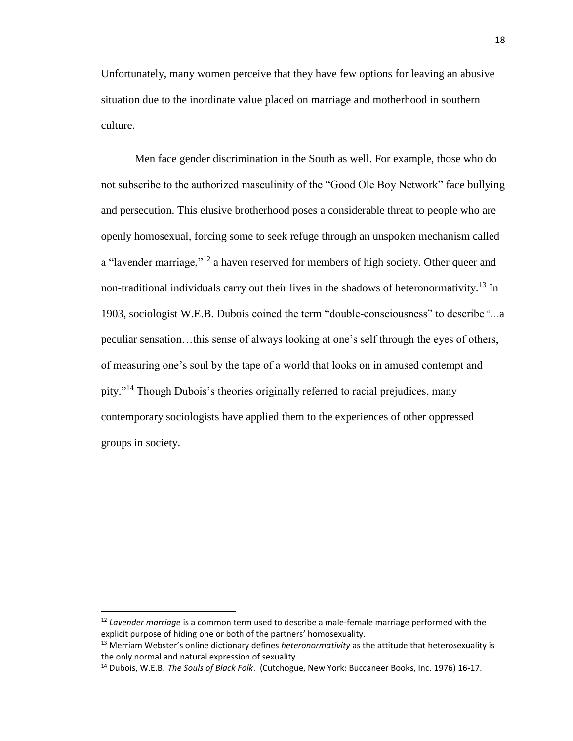Unfortunately, many women perceive that they have few options for leaving an abusive situation due to the inordinate value placed on marriage and motherhood in southern culture.

Men face gender discrimination in the South as well. For example, those who do not subscribe to the authorized masculinity of the "Good Ole Boy Network" face bullying and persecution. This elusive brotherhood poses a considerable threat to people who are openly homosexual, forcing some to seek refuge through an unspoken mechanism called a "lavender marriage,"<sup>12</sup> a haven reserved for members of high society. Other queer and non-traditional individuals carry out their lives in the shadows of heteronormativity.<sup>13</sup> In 1903, sociologist W.E.B. Dubois coined the term "double-consciousness" to describe "…a peculiar sensation…this sense of always looking at one's self through the eyes of others, of measuring one's soul by the tape of a world that looks on in amused contempt and pity." <sup>14</sup> Though Dubois's theories originally referred to racial prejudices, many contemporary sociologists have applied them to the experiences of other oppressed groups in society.

l

<sup>12</sup> *Lavender marriage* is a common term used to describe a male-female marriage performed with the explicit purpose of hiding one or both of the partners' homosexuality.

<sup>13</sup> Merriam Webster's online dictionary defines *heteronormativity* as the attitude that [heterosexuality](http://www.merriam-webster.com/dictionary/heterosexuality) is the only normal and natural expression of sexuality.

<sup>14</sup> Dubois, W.E.B. *The Souls of Black Folk*. (Cutchogue, New York: Buccaneer Books, Inc. 1976) 16-17.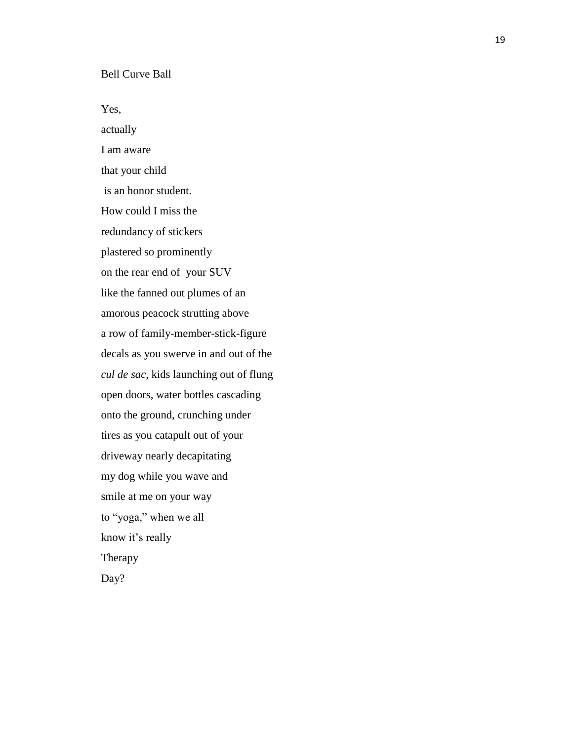## Bell Curve Ball

Yes,

actually I am aware that your child is an honor student. How could I miss the redundancy of stickers plastered so prominently on the rear end of your SUV like the fanned out plumes of an amorous peacock strutting above a row of family -member -stick -figure decals as you swerve in and out of the *cul de sac*, kids launching out of flung open doors, water bottles cascading onto the ground, crunching under tires as you catapult out of your driveway nearly decapitating my dog while you wave and smile at me on your way to "yoga," when we all know it's really Therapy Day?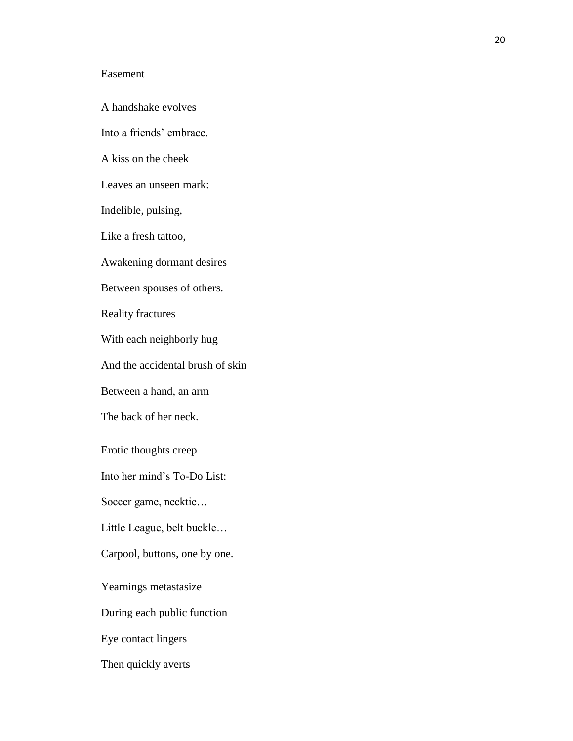## Easement

A handshake evolves Into a friends' embrace. A kiss on the cheek Leaves an unseen mark: Indelible*,* pulsing, Like a fresh tattoo, Awakening dormant desires Between spouses of others. Reality fractures With each neighborly hug And the accidental brush of skin Between a hand, an arm The back of her neck. Erotic thoughts creep Into her mind's To-Do List: Soccer game, necktie… Little League, belt buckle… Carpool, buttons, one by one. Yearnings metastasize During each public function Eye contact lingers Then quickly averts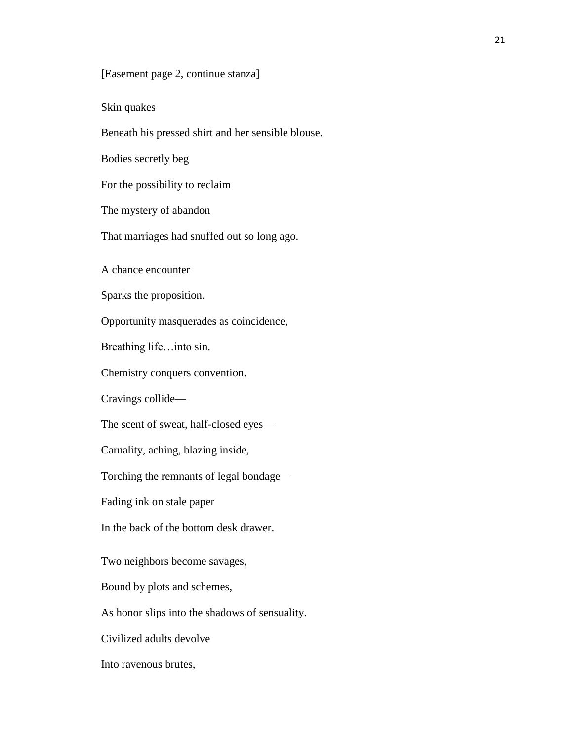[Easement page 2, continue stanza]

Skin quakes

Beneath his pressed shirt and her sensible blouse.

Bodies secretly beg

For the possibility to reclaim

The mystery of abandon

That marriages had snuffed out so long ago.

A chance encounter

Sparks the proposition.

Opportunity masquerades as coincidence,

Breathing life…into sin.

Chemistry conquers convention.

Cravings collide—

The scent of sweat, half-closed eyes—

Carnality, aching, blazing inside,

Torching the remnants of legal bondage—

Fading ink on stale paper

In the back of the bottom desk drawer.

Two neighbors become savages,

Bound by plots and schemes,

As honor slips into the shadows of sensuality.

Civilized adults devolve

Into ravenous brutes,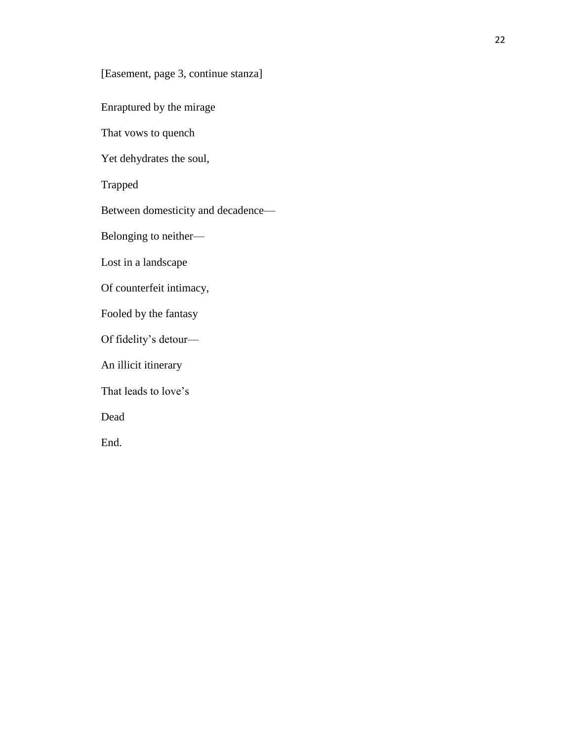[Easement, page 3, continue stanza]

Enraptured by the mirage

That vows to quench

Yet dehydrates the soul,

Trapped

Between domesticity and decadence—

Belonging to neither—

Lost in a landscape

Of counterfeit intimacy,

Fooled by the fantasy

Of fidelity's detour—

An illicit itinerary

That leads to love's

Dead

End.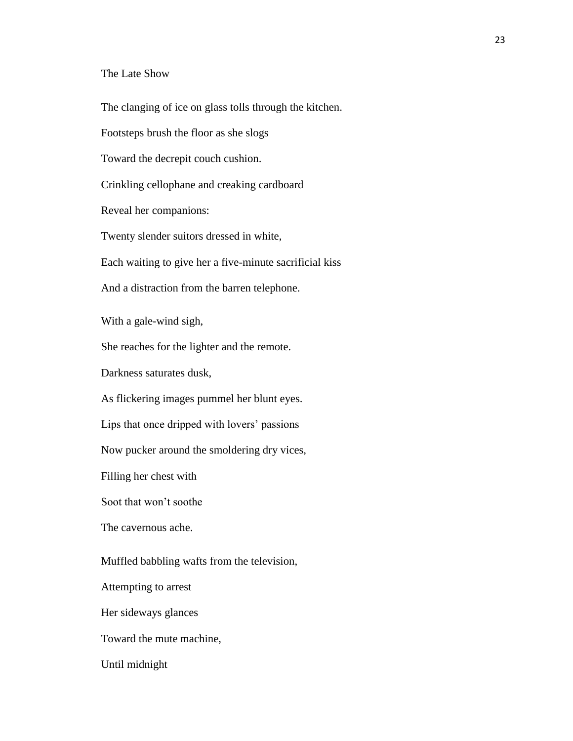## The Late Show

The clanging of ice on glass tolls through the kitchen.

Footsteps brush the floor as she slogs

Toward the decrepit couch cushion.

Crinkling cellophane and creaking cardboard

Reveal her companions:

Twenty slender suitors dressed in white,

Each waiting to give her a five-minute sacrificial kiss

And a distraction from the barren telephone.

With a gale-wind sigh,

She reaches for the lighter and the remote.

Darkness saturates dusk,

As flickering images pummel her blunt eyes.

Lips that once dripped with lovers' passions

Now pucker around the smoldering dry vices,

Filling her chest with

Soot that won't soothe

The cavernous ache.

Muffled babbling wafts from the television,

Attempting to arrest

Her sideways glances

Toward the mute machine,

Until midnight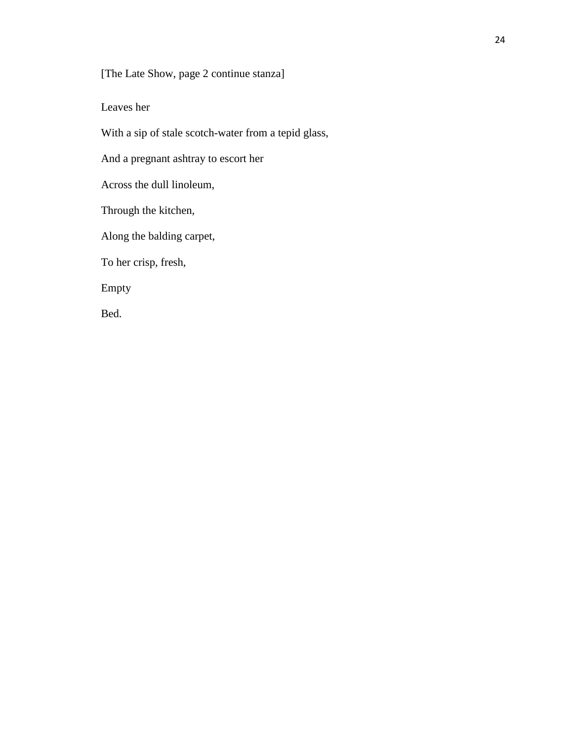[The Late Show, page 2 continue stanza]

Leaves her

With a sip of stale scotch-water from a tepid glass,

And a pregnant ashtray to escort her

Across the dull linoleum,

Through the kitchen,

Along the balding carpet,

To her crisp, fresh,

Empty

Bed.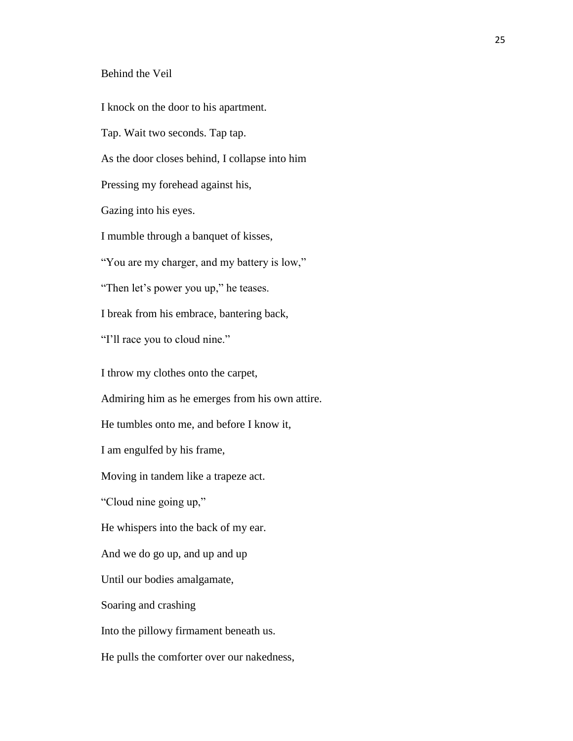## Behind the Veil

I knock on the door to his apartment.

Tap. Wait two seconds. Tap tap.

As the door closes behind, I collapse into him

Pressing my forehead against his,

Gazing into his eyes.

I mumble through a banquet of kisses,

"You are my charger, and my battery is low,"

"Then let's power you up," he teases.

I break from his embrace, bantering back,

"I'll race you to cloud nine."

I throw my clothes onto the carpet,

Admiring him as he emerges from his own attire.

He tumbles onto me, and before I know it,

I am engulfed by his frame,

Moving in tandem like a trapeze act.

"Cloud nine going up,"

He whispers into the back of my ear.

And we do go up, and up and up

Until our bodies amalgamate,

Soaring and crashing

Into the pillowy firmament beneath us.

He pulls the comforter over our nakedness,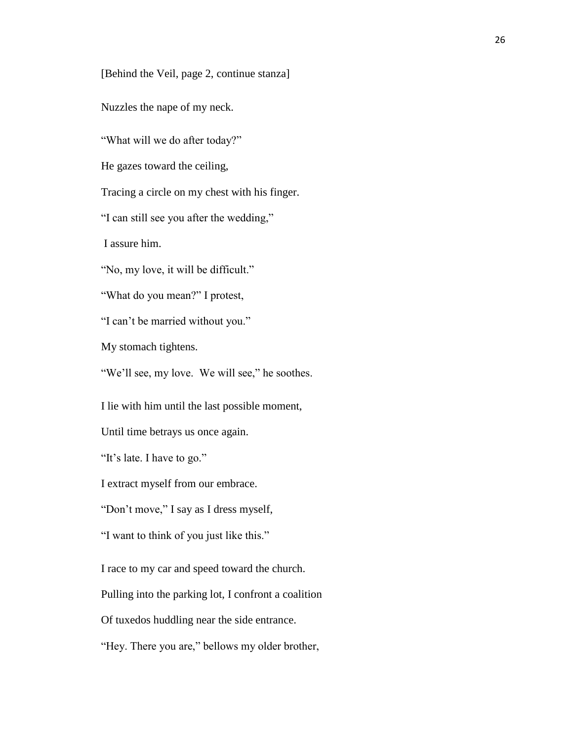[Behind the Veil, page 2, continue stanza]

Nuzzles the nape of my neck.

"What will we do after today?"

He gazes toward the ceiling,

Tracing a circle on my chest with his finger.

"I can still see you after the wedding,"

I assure him.

"No, my love, it will be difficult."

"What do you mean?" I protest,

"I can't be married without you."

My stomach tightens.

"We'll see, my love. We will see," he soothes.

I lie with him until the last possible moment,

Until time betrays us once again.

"It's late. I have to go."

I extract myself from our embrace.

"Don't move," I say as I dress myself,

"I want to think of you just like this."

I race to my car and speed toward the church.

Pulling into the parking lot, I confront a coalition

Of tuxedos huddling near the side entrance.

"Hey. There you are," bellows my older brother,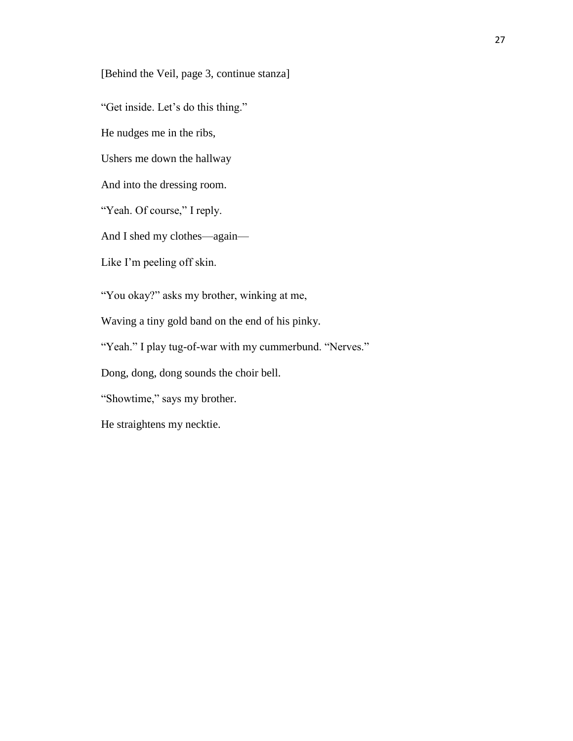[Behind the Veil, page 3, continue stanza]

"Get inside. Let's do this thing."

He nudges me in the ribs,

Ushers me down the hallway

And into the dressing room.

"Yeah. Of course," I reply.

And I shed my clothes—again—

Like I'm peeling off skin.

"You okay?" asks my brother, winking at me,

Waving a tiny gold band on the end of his pinky.

"Yeah." I play tug-of-war with my cummerbund. "Nerves."

Dong, dong, dong sounds the choir bell.

"Showtime," says my brother.

He straightens my necktie.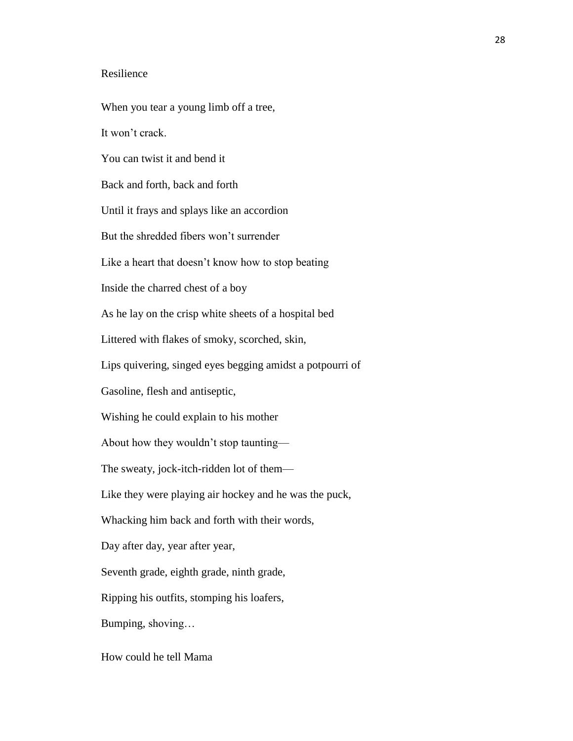## Resilience

When you tear a young limb off a tree, It won't crack. You can twist it and bend it Back and forth, back and forth Until it frays and splays like an accordion But the shredded fibers won't surrender Like a heart that doesn't know how to stop beating Inside the charred chest of a boy As he lay on the crisp white sheets of a hospital bed Littered with flakes of smoky, scorched, skin, Lips quivering, singed eyes begging amidst a potpourri of Gasoline, flesh and antiseptic, Wishing he could explain to his mother About how they wouldn't stop taunting— The sweaty, jock-itch-ridden lot of them— Like they were playing air hockey and he was the puck, Whacking him back and forth with their words, Day after day, year after year, Seventh grade, eighth grade, ninth grade, Ripping his outfits, stomping his loafers, Bumping, shoving… How could he tell Mama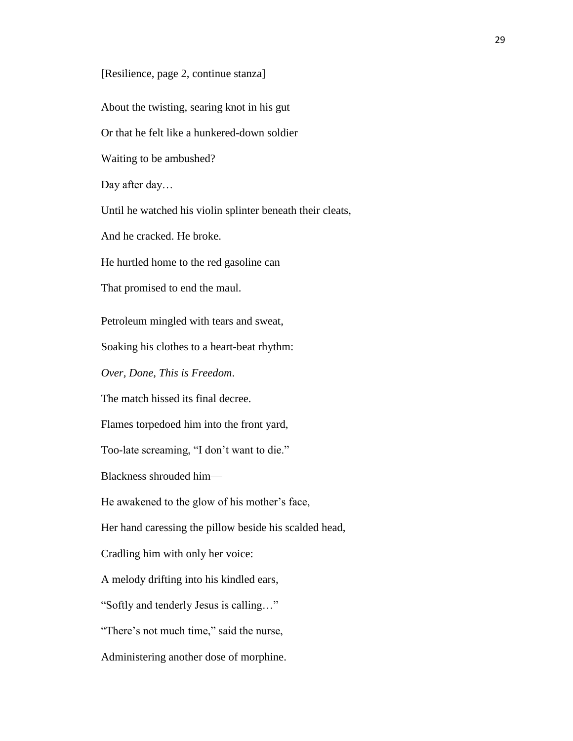[Resilience, page 2, continue stanza]

About the twisting, searing knot in his gut

Or that he felt like a hunkered-down soldier

Waiting to be ambushed?

Day after day…

Until he watched his violin splinter beneath their cleats,

And he cracked. He broke.

He hurtled home to the red gasoline can

That promised to end the maul.

Petroleum mingled with tears and sweat,

Soaking his clothes to a heart-beat rhythm:

*Over, Done, This is Freedom*.

The match hissed its final decree.

Flames torpedoed him into the front yard,

Too-late screaming, "I don't want to die."

Blackness shrouded him—

He awakened to the glow of his mother's face,

Her hand caressing the pillow beside his scalded head,

Cradling him with only her voice:

A melody drifting into his kindled ears,

"Softly and tenderly Jesus is calling…"

"There's not much time," said the nurse,

Administering another dose of morphine.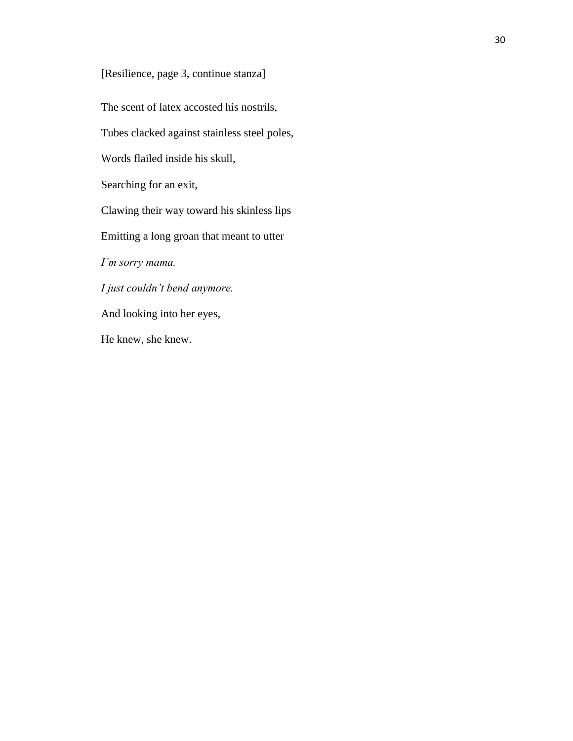[Resilience, page 3, continue stanza]

The scent of latex accosted his nostrils,

Tubes clacked against stainless steel poles,

Words flailed inside his skull,

Searching for an exit,

Clawing their way toward his skinless lips

Emitting a long groan that meant to utter

*I'm sorry mama.* 

*I just couldn't bend anymore.*

And looking into her eyes,

He knew, she knew.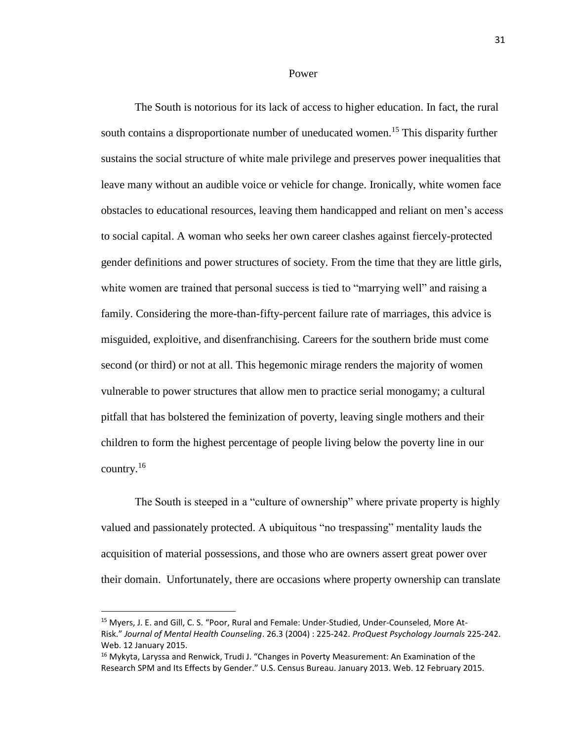#### Power

The South is notorious for its lack of access to higher education. In fact, the rural south contains a disproportionate number of uneducated women. <sup>15</sup> This disparity further sustains the social structure of white male privilege and preserves power inequalities that leave many without an audible voice or vehicle for change. Ironically, white women face obstacles to educational resources, leaving them handicapped and reliant on men's access to social capital. A woman who seeks her own career clashes against fiercely-protected gender definitions and power structures of society. From the time that they are little girls, white women are trained that personal success is tied to "marrying well" and raising a family. Considering the more-than-fifty-percent failure rate of marriages, this advice is misguided, exploitive, and disenfranchising. Careers for the southern bride must come second (or third) or not at all. This hegemonic mirage renders the majority of women vulnerable to power structures that allow men to practice serial monogamy; a cultural pitfall that has bolstered the feminization of poverty, leaving single mothers and their children to form the highest percentage of people living below the poverty line in our country.<sup>16</sup>

The South is steeped in a "culture of ownership" where private property is highly valued and passionately protected. A ubiquitous "no trespassing" mentality lauds the acquisition of material possessions, and those who are owners assert great power over their domain. Unfortunately, there are occasions where property ownership can translate

l

<sup>&</sup>lt;sup>15</sup> Myers, J. E. and Gill, C. S. "Poor, Rural and Female: Under-Studied, Under-Counseled, More At-Risk." *Journal of Mental Health Counseling*. 26.3 (2004) : 225-242. *ProQuest Psychology Journals* 225-242. Web. 12 January 2015.

<sup>&</sup>lt;sup>16</sup> Mykyta, Laryssa and Renwick, Trudi J. "Changes in Poverty Measurement: An Examination of the Research SPM and Its Effects by Gender." U.S. Census Bureau. January 2013. Web. 12 February 2015.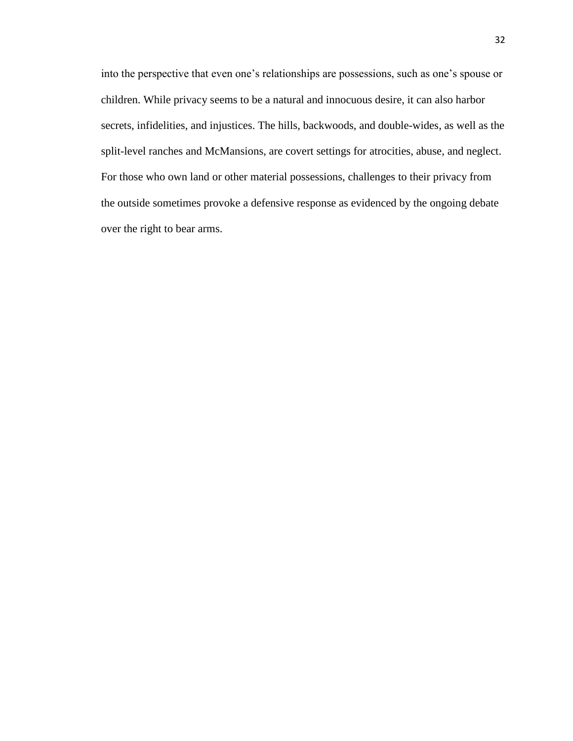into the perspective that even one's relationships are possessions, such as one's spouse or children. While privacy seems to be a natural and innocuous desire, it can also harbor secrets, infidelities, and injustices. The hills, backwoods, and double-wides, as well as the split-level ranches and McMansions, are covert settings for atrocities, abuse, and neglect. For those who own land or other material possessions, challenges to their privacy from the outside sometimes provoke a defensive response as evidenced by the ongoing debate over the right to bear arms.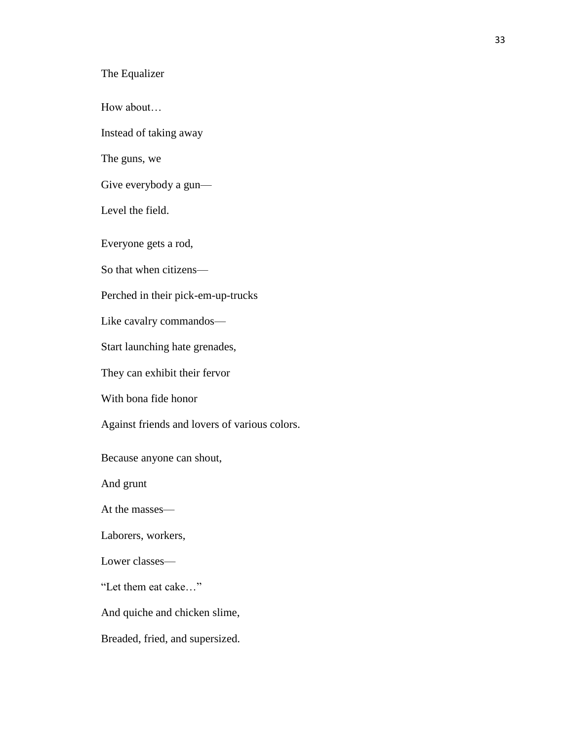The Equalizer

How about…

Instead of taking away

The guns, we

Give everybody a gun—

Level the field.

Everyone gets a rod,

So that when citizens—

Perched in their pick-em-up-trucks

Like cavalry commandos—

Start launching hate grenades,

They can exhibit their fervor

With bona fide honor

Against friends and lovers of various colors.

Because anyone can shout,

And grunt

At the masses—

Laborers, workers,

Lower classes—

"Let them eat cake…"

And quiche and chicken slime,

Breaded, fried, and supersized.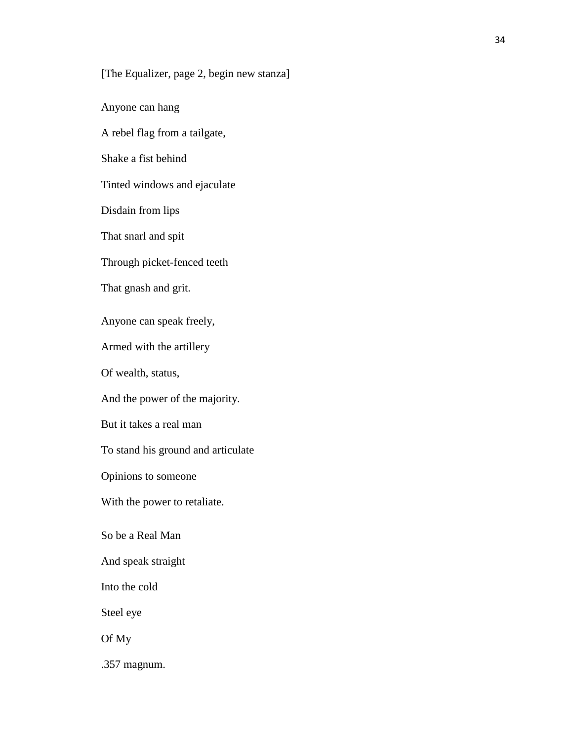# [The Equalizer, page 2, begin new stanza]

Anyone can hang

A rebel flag from a tailgate,

Shake a fist behind

Tinted windows and ejaculate

Disdain from lips

That snarl and spit

Through picket-fenced teeth

That gnash and grit.

Anyone can speak freely,

Armed with the artillery

Of wealth, status,

And the power of the majority.

But it takes a real man

To stand his ground and articulate

Opinions to someone

With the power to retaliate.

So be a Real Man

And speak straight

Into the cold

Steel eye

Of My

.357 magnum.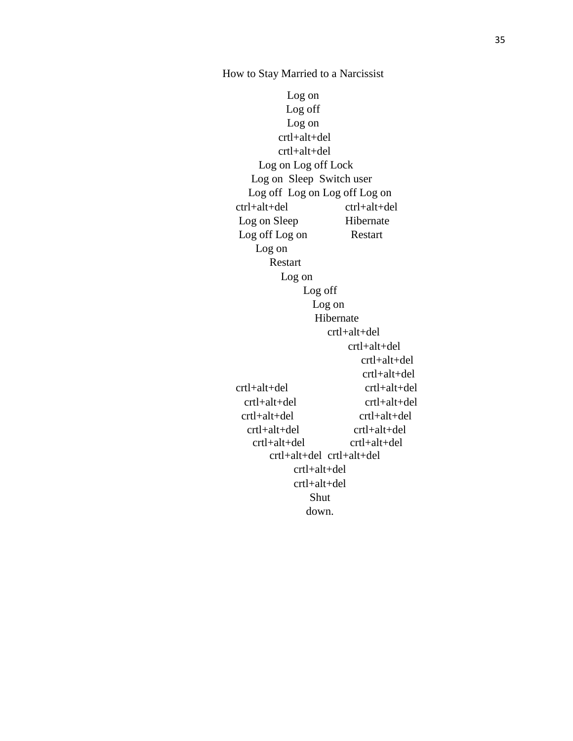Log on Log off Log on crtl+alt+del crtl+alt+del Log on Log off Lock Log on Sleep Switch user Log off Log on Log off Log on ctrl+alt+del ctrl+alt+del Log on Sleep Hibernate Log off Log on Restart Log on Restart Log on Log off Log on Hibernate crtl+alt+del crtl+alt+del crtl+alt+del crtl+alt+del crtl+alt+del crtl+alt+del crtl+alt+del crtl+alt+del crtl+alt+del crtl+alt+del crtl+alt+del crtl+alt+del crtl+alt+del crtl+alt+del crtl+alt+del crtl+alt+del crtl+alt+del crtl+alt+del Shut down.

How to Stay Married to a Narcissist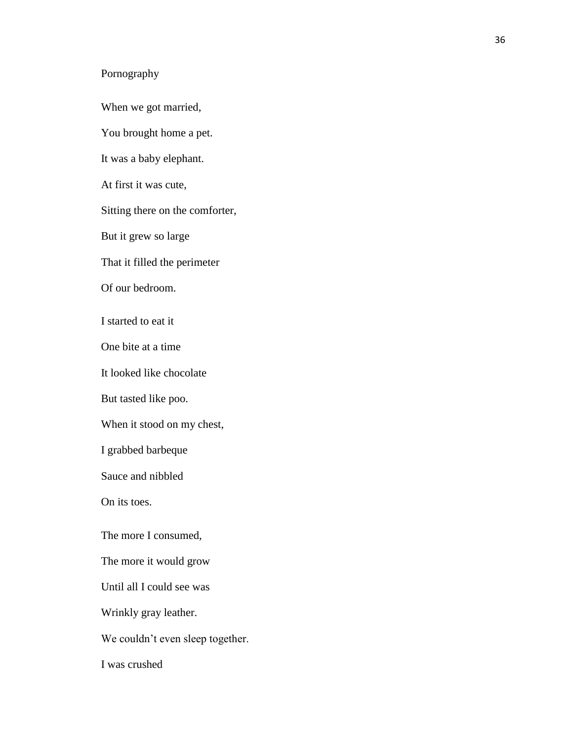# Pornography

When we got married,

You brought home a pet.

It was a baby elephant.

At first it was cute,

Sitting there on the comforter,

But it grew so large

That it filled the perimeter

Of our bedroom.

I started to eat it

One bite at a time

It looked like chocolate

But tasted like poo.

When it stood on my chest,

I grabbed barbeque

Sauce and nibbled

On its toes.

The more I consumed,

The more it would grow

Until all I could see was

Wrinkly gray leather.

We couldn't even sleep together.

I was crushed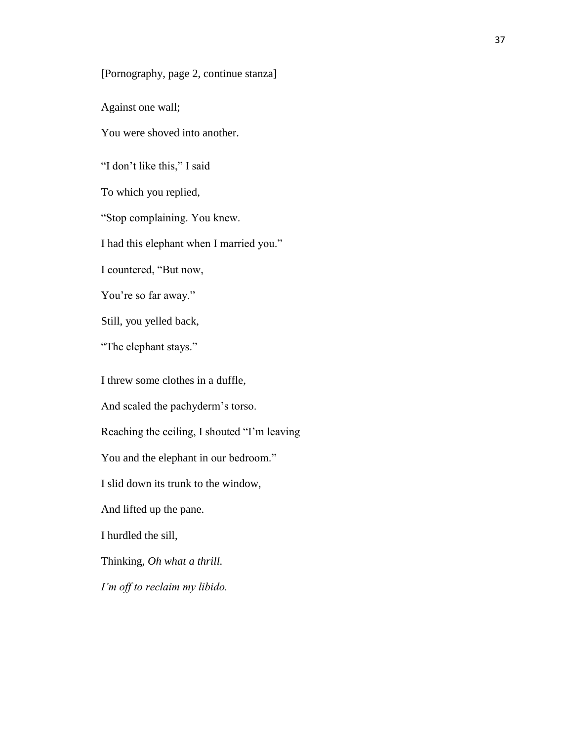[Pornography, page 2, continue stanza]

Against one wall;

You were shoved into another.

"I don't like this," I said

To which you replied,

"Stop complaining. You knew.

I had this elephant when I married you."

I countered, "But now,

You're so far away."

Still, you yelled back,

"The elephant stays."

I threw some clothes in a duffle,

And scaled the pachyderm's torso.

Reaching the ceiling, I shouted "I'm leaving

You and the elephant in our bedroom."

I slid down its trunk to the window,

And lifted up the pane.

I hurdled the sill,

Thinking, *Oh what a thrill.* 

*I'm off to reclaim my libido.*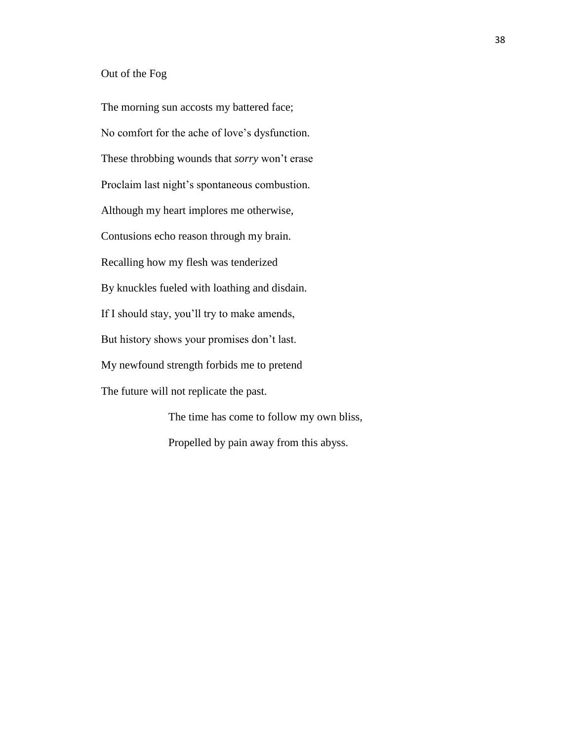#### Out of the Fog

The morning sun accosts my battered face; No comfort for the ache of love's dysfunction. These throbbing wounds that *sorry* won't erase Proclaim last night's spontaneous combustion. Although my heart implores me otherwise, Contusions echo reason through my brain. Recalling how my flesh was tenderized By knuckles fueled with loathing and disdain. If I should stay, you'll try to make amends, But history shows your promises don't last. My newfound strength forbids me to pretend The future will not replicate the past.

The time has come to follow my own bliss, Propelled by pain away from this abyss.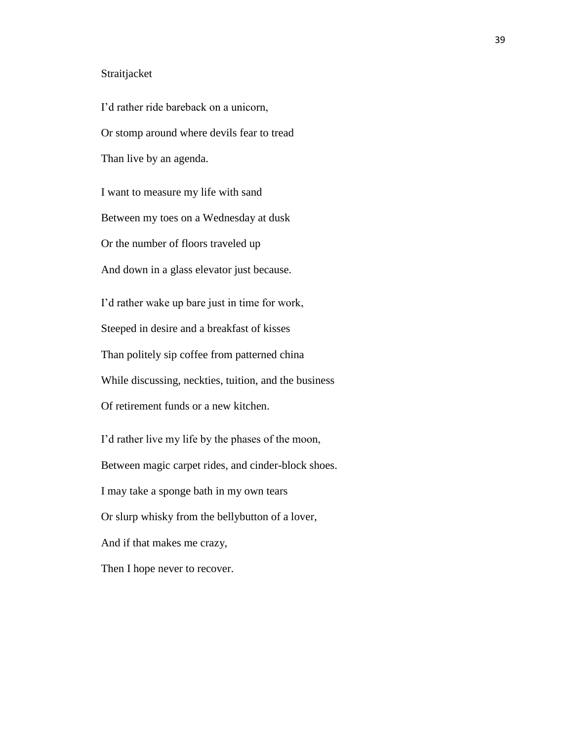#### Straitjacket

I'd rather ride bareback on a unicorn, Or stomp around where devils fear to tread Than live by an agenda. I want to measure my life with sand Between my toes on a Wednesday at dusk Or the number of floors traveled up And down in a glass elevator just because. I'd rather wake up bare just in time for work, Steeped in desire and a breakfast of kisses Than politely sip coffee from patterned china While discussing, neckties, tuition, and the business Of retirement funds or a new kitchen. I'd rather live my life by the phases of the moon, Between magic carpet rides, and cinder-block shoes. I may take a sponge bath in my own tears Or slurp whisky from the bellybutton of a lover, And if that makes me crazy, Then I hope never to recover.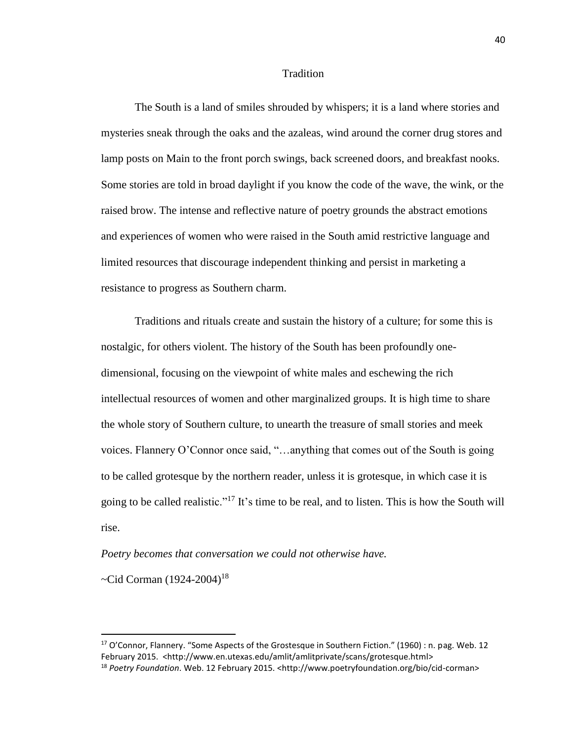#### Tradition

The South is a land of smiles shrouded by whispers; it is a land where stories and mysteries sneak through the oaks and the azaleas, wind around the corner drug stores and lamp posts on Main to the front porch swings, back screened doors, and breakfast nooks. Some stories are told in broad daylight if you know the code of the wave, the wink, or the raised brow. The intense and reflective nature of poetry grounds the abstract emotions and experiences of women who were raised in the South amid restrictive language and limited resources that discourage independent thinking and persist in marketing a resistance to progress as Southern charm.

Traditions and rituals create and sustain the history of a culture; for some this is nostalgic, for others violent. The history of the South has been profoundly onedimensional, focusing on the viewpoint of white males and eschewing the rich intellectual resources of women and other marginalized groups. It is high time to share the whole story of Southern culture, to unearth the treasure of small stories and meek voices. Flannery O'Connor once said, "…anything that comes out of the South is going to be called grotesque by the northern reader, unless it is grotesque, in which case it is going to be called realistic."<sup>17</sup> It's time to be real, and to listen. This is how the South will rise.

#### *Poetry becomes that conversation we could not otherwise have.*

~Cid Corman  $(1924-2004)^{18}$ 

 $\overline{\phantom{a}}$ 

<sup>17</sup> O'Connor, Flannery. "Some Aspects of the Grostesque in Southern Fiction." (1960) : n. pag. Web. 12 February 2015. <http://www.en.utexas.edu/amlit/amlitprivate/scans/grotesque.html> <sup>18</sup> Poetry Foundation. Web. 12 February 2015. <http://www.poetryfoundation.org/bio/cid-corman>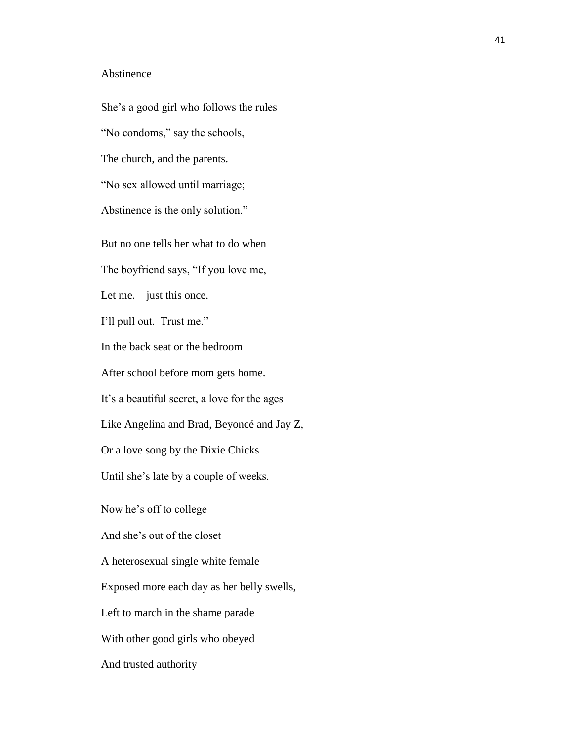#### Abstinence

She's a good girl who follows the rules "No condoms," say the schools, The church, and the parents. "No sex allowed until marriage; Abstinence is the only solution." But no one tells her what to do when The boyfriend says, "If you love me, Let me.—just this once. I'll pull out. Trust me." In the back seat or the bedroom After school before mom gets home. It's a beautiful secret, a love for the ages Like Angelina and Brad, Beyoncé and Jay Z, Or a love song by the Dixie Chicks Until she's late by a couple of weeks. Now he's off to college And she's out of the closet— A heterosexual single white female— Exposed more each day as her belly swells, Left to march in the shame parade With other good girls who obeyed And trusted authority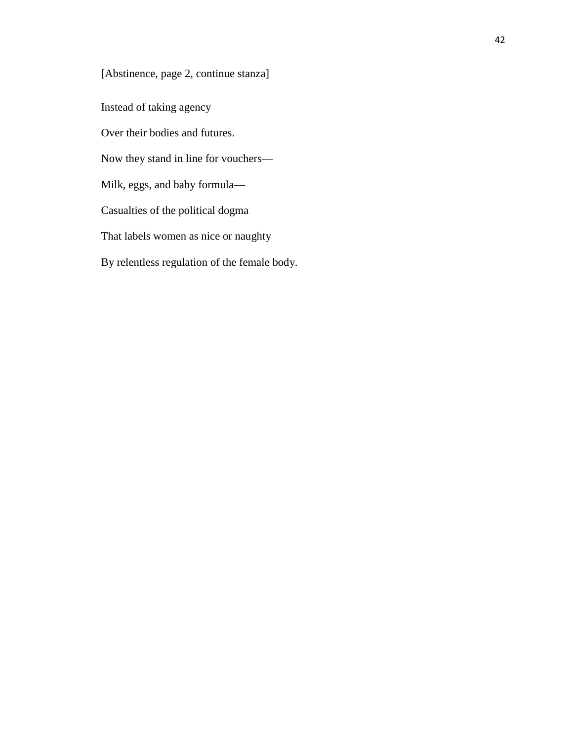[Abstinence, page 2, continue stanza]

Instead of taking agency

Over their bodies and futures.

Now they stand in line for vouchers—

Milk, eggs, and baby formula—

Casualties of the political dogma

That labels women as nice or naughty

By relentless regulation of the female body.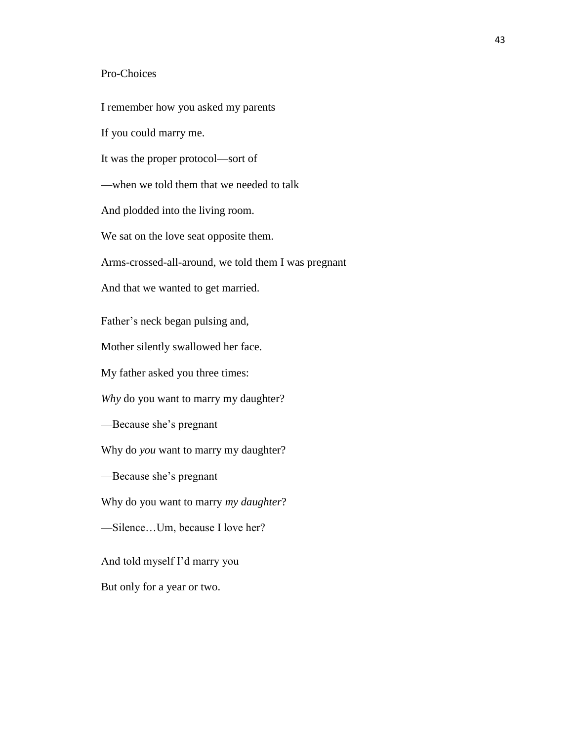### Pro-Choices

I remember how you asked my parents If you could marry me. It was the proper protocol—sort of —when we told them that we needed to talk And plodded into the living room. We sat on the love seat opposite them. Arms-crossed-all-around, we told them I was pregnant And that we wanted to get married. Father's neck began pulsing and, Mother silently swallowed her face. My father asked you three times: *Why* do you want to marry my daughter? —Because she's pregnant Why do *you* want to marry my daughter? —Because she's pregnant Why do you want to marry *my daughter*? —Silence…Um, because I love her? And told myself I'd marry you But only for a year or two.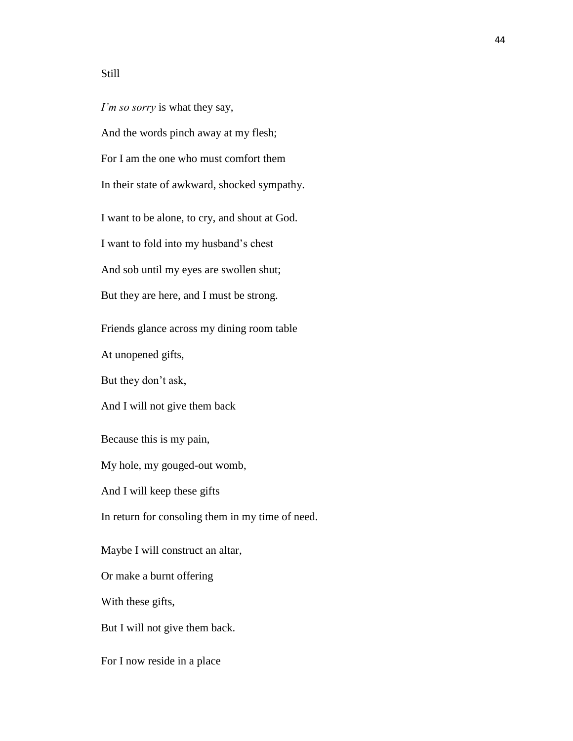## Still

*I'm so sorry* is what they say, And the words pinch away at my flesh; For I am the one who must comfort them In their state of awkward, shocked sympathy. I want to be alone, to cry, and shout at God. I want to fold into my husband's chest And sob until my eyes are swollen shut; But they are here, and I must be strong. Friends glance across my dining room table At unopened gifts, But they don't ask, And I will not give them back Because this is my pain, My hole, my gouged-out womb, And I will keep these gifts In return for consoling them in my time of need. Maybe I will construct an altar, Or make a burnt offering With these gifts, But I will not give them back. For I now reside in a place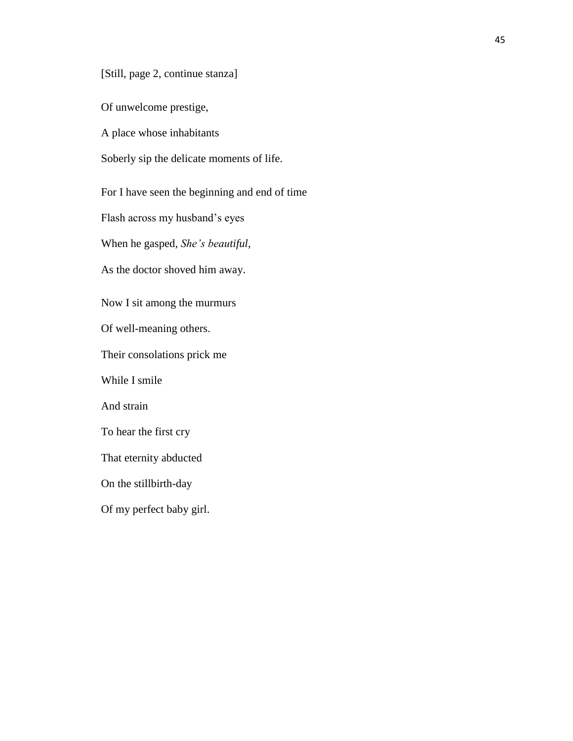[Still, page 2, continue stanza]

Of unwelcome prestige,

A place whose inhabitants

Soberly sip the delicate moments of life.

For I have seen the beginning and end of time

Flash across my husband's eyes

When he gasped, *She's beautiful,*

As the doctor shoved him away.

Now I sit among the murmurs

Of well-meaning others.

Their consolations prick me

While I smile

And strain

To hear the first cry

That eternity abducted

On the stillbirth-day

Of my perfect baby girl.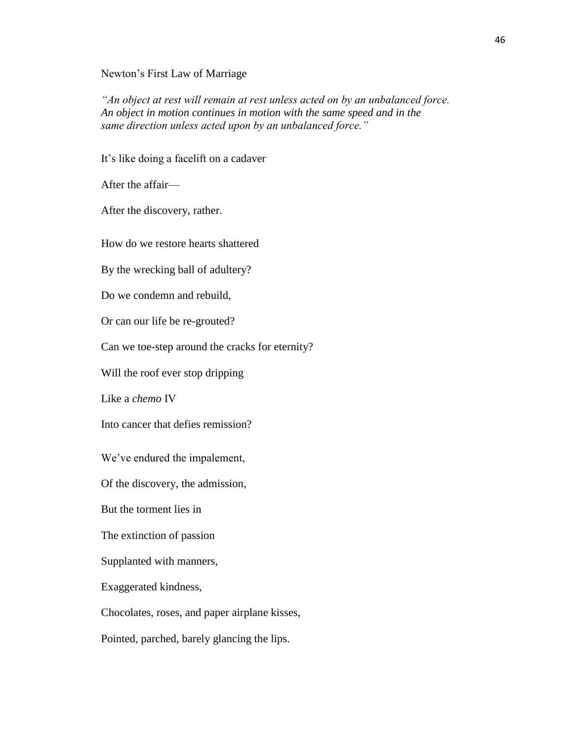Newton's First Law of Marriage

*"An object at rest will remain at rest unless acted on by an unbalanced force. An object in motion continues in motion with the same speed and in the same direction unless acted upon by an unbalanced force."*

It's like doing a facelift on a cadaver

After the affair—

After the discovery, rather.

How do we restore hearts shattered

By the wrecking ball of adultery?

Do we condemn and rebuild,

Or can our life be re-grouted?

Can we toe-step around the cracks for eternity?

Will the roof ever stop dripping

Like a *chemo* IV

Into cancer that defies remission?

We've endured the impalement,

Of the discovery, the admission,

But the torment lies in

The extinction of passion

Supplanted with manners,

Exaggerated kindness,

Chocolates, roses, and paper airplane kisses,

Pointed, parched, barely glancing the lips.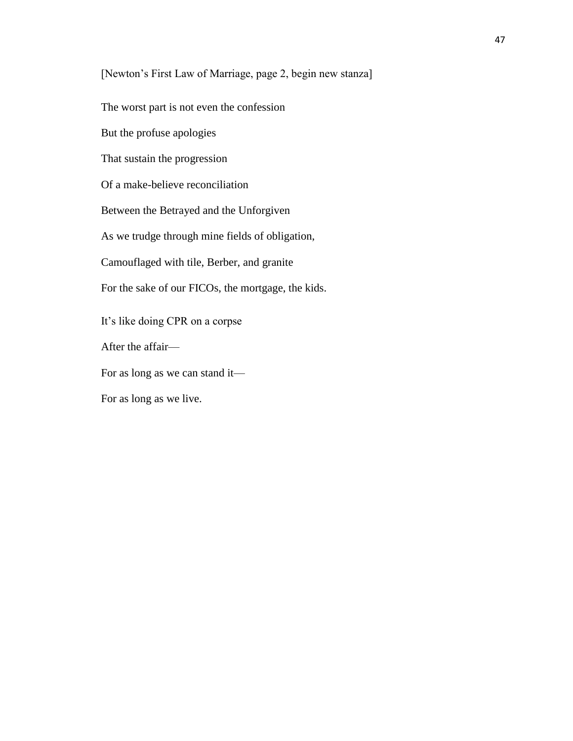[Newton's First Law of Marriage, page 2, begin new stanza]

The worst part is not even the confession

But the profuse apologies

That sustain the progression

Of a make-believe reconciliation

Between the Betrayed and the Unforgiven

As we trudge through mine fields of obligation,

Camouflaged with tile, Berber, and granite

For the sake of our FICOs, the mortgage, the kids.

It's like doing CPR on a corpse

After the affair—

For as long as we can stand it—

For as long as we live.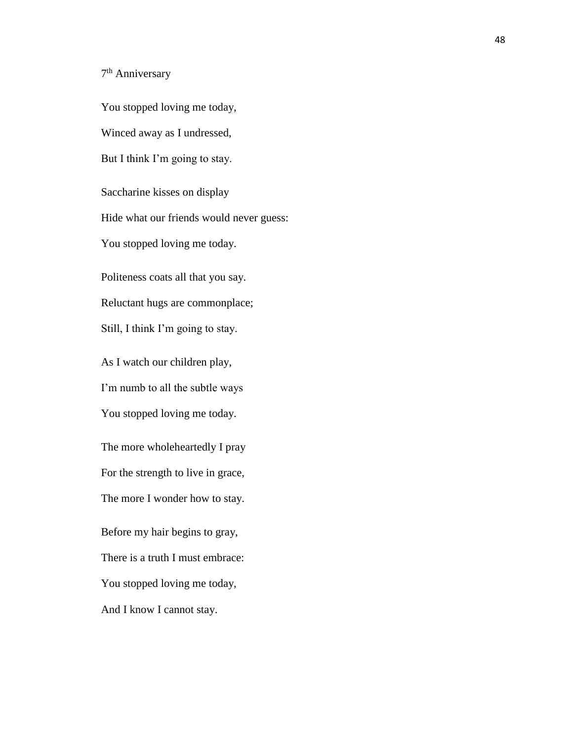7<sup>th</sup> Anniversary

You stopped loving me today, Winced away as I undressed, But I think I'm going to stay. Saccharine kisses on display Hide what our friends would never guess: You stopped loving me today. Politeness coats all that you say. Reluctant hugs are commonplace; Still, I think I'm going to stay. As I watch our children play, I'm numb to all the subtle ways You stopped loving me today. The more wholeheartedly I pray For the strength to live in grace, The more I wonder how to stay. Before my hair begins to gray, There is a truth I must embrace: You stopped loving me today, And I know I cannot stay.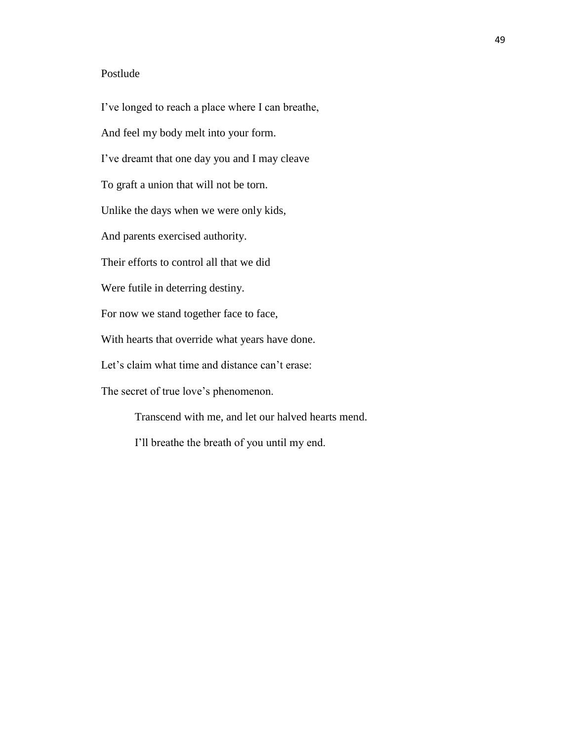## Postlude

I've longed to reach a place where I can breathe, And feel my body melt into your form. I've dreamt that one day you and I may cleave To graft a union that will not be torn. Unlike the days when we were only kids, And parents exercised authority. Their efforts to control all that we did Were futile in deterring destiny. For now we stand together face to face, With hearts that override what years have done. Let's claim what time and distance can't erase: The secret of true love's phenomenon.

Transcend with me, and let our halved hearts mend.

I'll breathe the breath of you until my end.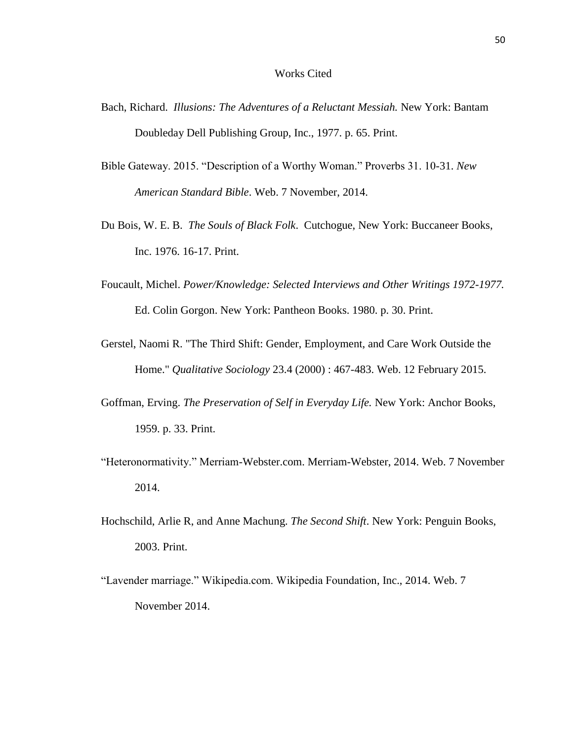#### Works Cited

- Bach, Richard. *Illusions: The Adventures of a Reluctant Messiah.* New York: Bantam Doubleday Dell Publishing Group, Inc., 1977. p. 65. Print.
- Bible Gateway. 2015. "Description of a Worthy Woman." Proverbs 31. 10-31. *New American Standard Bible*. Web. 7 November, 2014.
- Du Bois, W. E. B. *The Souls of Black Folk*. Cutchogue, New York: Buccaneer Books, Inc. 1976. 16-17. Print.
- Foucault, Michel. *Power/Knowledge: Selected Interviews and Other Writings 1972-1977.* Ed. Colin Gorgon. New York: Pantheon Books. 1980. p. 30. Print.
- Gerstel, Naomi R. "The Third Shift: Gender, Employment, and Care Work Outside the Home." *Qualitative Sociology* 23.4 (2000) : 467-483. Web. 12 February 2015.
- Goffman, Erving. *The Preservation of Self in Everyday Life.* New York: Anchor Books, 1959. p. 33. Print.
- "Heteronormativity." Merriam-Webster.com. Merriam-Webster, 2014. Web. 7 November 2014.
- Hochschild, Arlie R, and Anne Machung. *The Second Shift*. New York: Penguin Books, 2003. Print.
- "Lavender marriage." Wikipedia.com. Wikipedia Foundation, Inc., 2014. Web. 7 November 2014.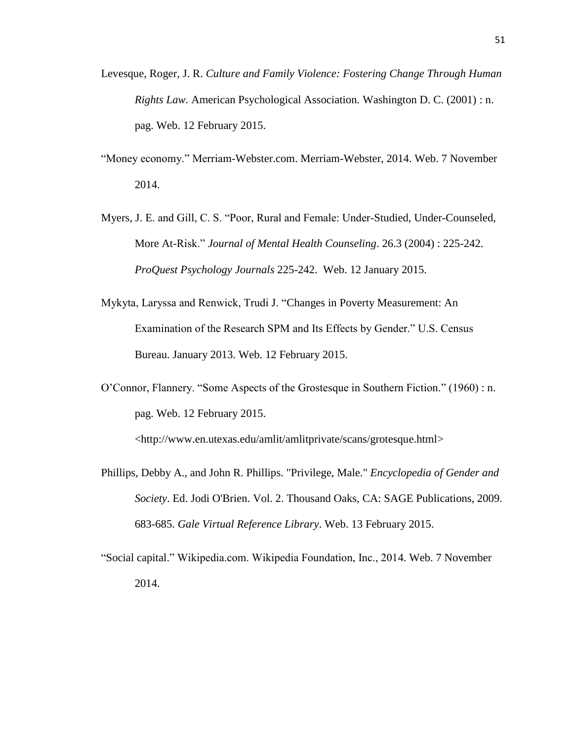- Levesque, Roger, J. R. *Culture and Family Violence: Fostering Change Through Human Rights Law.* American Psychological Association. Washington D. C. (2001) : n. pag. Web. 12 February 2015.
- "Money economy." Merriam-Webster.com. Merriam-Webster, 2014. Web. 7 November 2014.
- Myers, J. E. and Gill, C. S. "Poor, Rural and Female: Under-Studied, Under-Counseled, More At-Risk." *Journal of Mental Health Counseling*. 26.3 (2004) : 225-242. *ProQuest Psychology Journals* 225-242. Web. 12 January 2015.
- Mykyta, Laryssa and Renwick, Trudi J. "Changes in Poverty Measurement: An Examination of the Research SPM and Its Effects by Gender." U.S. Census Bureau. January 2013. Web. 12 February 2015.
- O'Connor, Flannery. "Some Aspects of the Grostesque in Southern Fiction." (1960) : n. pag. Web. 12 February 2015.

[<http://www.en.utexas.edu/amlit/amlitprivate/scans/grotesque.html>](http://www.en.utexas.edu/amlit/amlitprivate/scans/grotesque.html)

- Phillips, Debby A., and John R. Phillips. "Privilege, Male." *Encyclopedia of Gender and Society*. Ed. Jodi O'Brien. Vol. 2. Thousand Oaks, CA: SAGE Publications, 2009. 683-685. *Gale Virtual Reference Library*. Web. 13 February 2015.
- "Social capital." Wikipedia.com. Wikipedia Foundation, Inc., 2014. Web. 7 November 2014.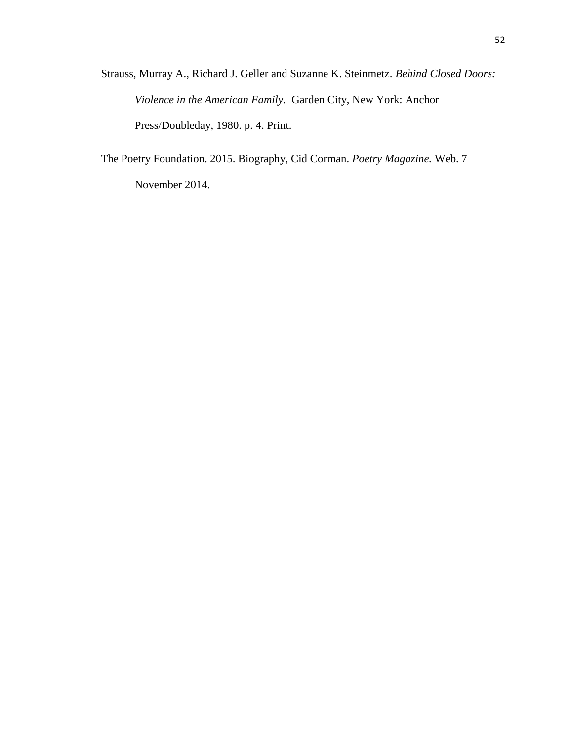Strauss, Murray A., Richard J. Geller and Suzanne K. Steinmetz. *Behind Closed Doors: Violence in the American Family.* Garden City, New York: Anchor Press/Doubleday, 1980. p. 4. Print.

The Poetry Foundation. 2015. Biography, Cid Corman. *Poetry Magazine.* Web. 7 November 2014.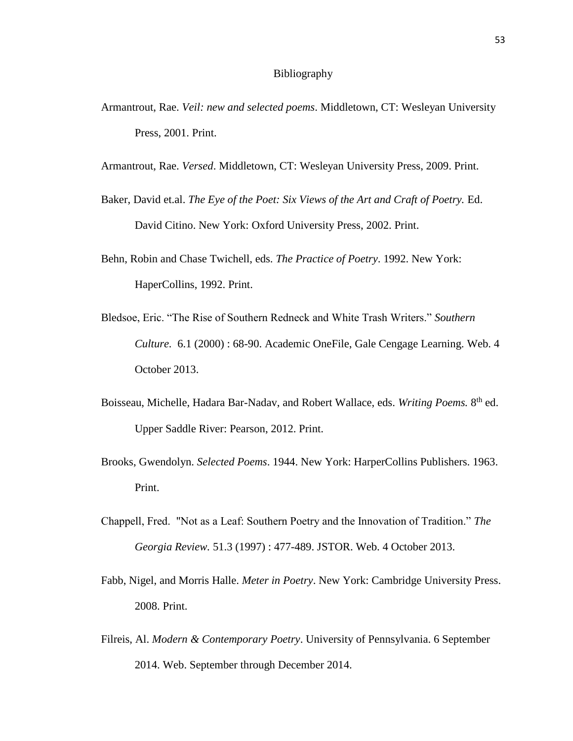- Armantrout, Rae. *Veil: new and selected poems*. Middletown, CT: Wesleyan University Press, 2001. Print.
- Armantrout, Rae. *Versed*. Middletown, CT: Wesleyan University Press, 2009. Print.
- Baker, David et.al. *The Eye of the Poet: Six Views of the Art and Craft of Poetry.* Ed. David Citino. New York: Oxford University Press, 2002. Print.
- Behn, Robin and Chase Twichell, eds. *The Practice of Poetry*. 1992. New York: HaperCollins, 1992. Print.
- Bledsoe, Eric. "The Rise of Southern Redneck and White Trash Writers." *Southern Culture.* 6.1 (2000) : 68-90. Academic OneFile, Gale Cengage Learning. Web. 4 October 2013.
- Boisseau, Michelle, Hadara Bar-Nadav, and Robert Wallace, eds. *Writing Poems.* 8 th ed. Upper Saddle River: Pearson, 2012. Print.
- Brooks, Gwendolyn. *Selected Poems*. 1944. New York: HarperCollins Publishers. 1963. Print.
- Chappell, Fred. "Not as a Leaf: Southern Poetry and the Innovation of Tradition." *The Georgia Review.* 51.3 (1997) : 477-489. JSTOR. Web. 4 October 2013.
- Fabb, Nigel, and Morris Halle. *Meter in Poetry*. New York: Cambridge University Press. 2008. Print.
- Filreis, Al. *Modern & Contemporary Poetry*. University of Pennsylvania. 6 September 2014. Web. September through December 2014.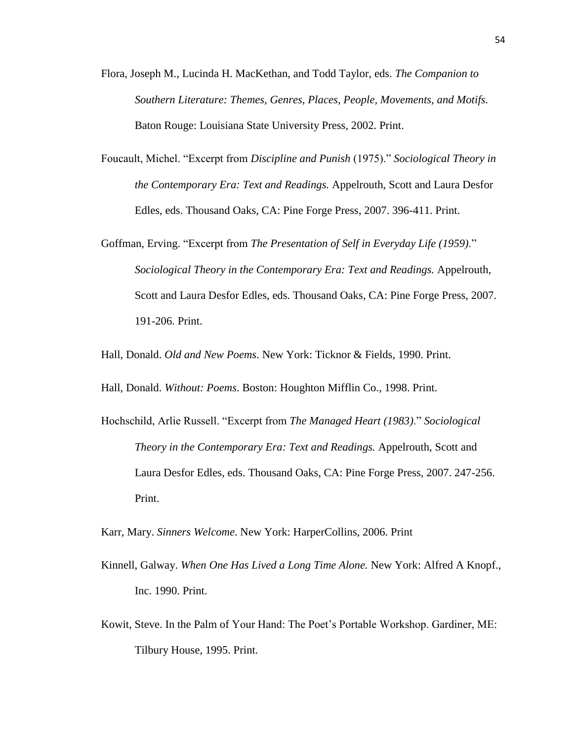- Flora, Joseph M., Lucinda H. MacKethan, and Todd Taylor, eds. *The Companion to Southern Literature: Themes, Genres, Places, People, Movements, and Motifs.*  Baton Rouge: Louisiana State University Press, 2002. Print.
- Foucault, Michel. "Excerpt from *Discipline and Punish* (1975)." *Sociological Theory in the Contemporary Era: Text and Readings.* Appelrouth, Scott and Laura Desfor Edles, eds. Thousand Oaks, CA: Pine Forge Press, 2007. 396-411. Print.
- Goffman, Erving. "Excerpt from *The Presentation of Self in Everyday Life (1959)*." *Sociological Theory in the Contemporary Era: Text and Readings.* Appelrouth, Scott and Laura Desfor Edles, eds. Thousand Oaks, CA: Pine Forge Press, 2007. 191-206. Print.

Hall, Donald. *Old and New Poems*. New York: Ticknor & Fields, 1990. Print.

Hall, Donald. *Without: Poems*. Boston: Houghton Mifflin Co., 1998. Print.

Hochschild, Arlie Russell. "Excerpt from *The Managed Heart (1983)*." *Sociological Theory in the Contemporary Era: Text and Readings.* Appelrouth, Scott and Laura Desfor Edles, eds. Thousand Oaks, CA: Pine Forge Press, 2007. 247-256. Print.

Karr, Mary. *Sinners Welcome*. New York: HarperCollins, 2006. Print

- Kinnell, Galway. *When One Has Lived a Long Time Alone.* New York: Alfred A Knopf., Inc. 1990. Print.
- Kowit, Steve. In the Palm of Your Hand: The Poet's Portable Workshop. Gardiner, ME: Tilbury House, 1995. Print.